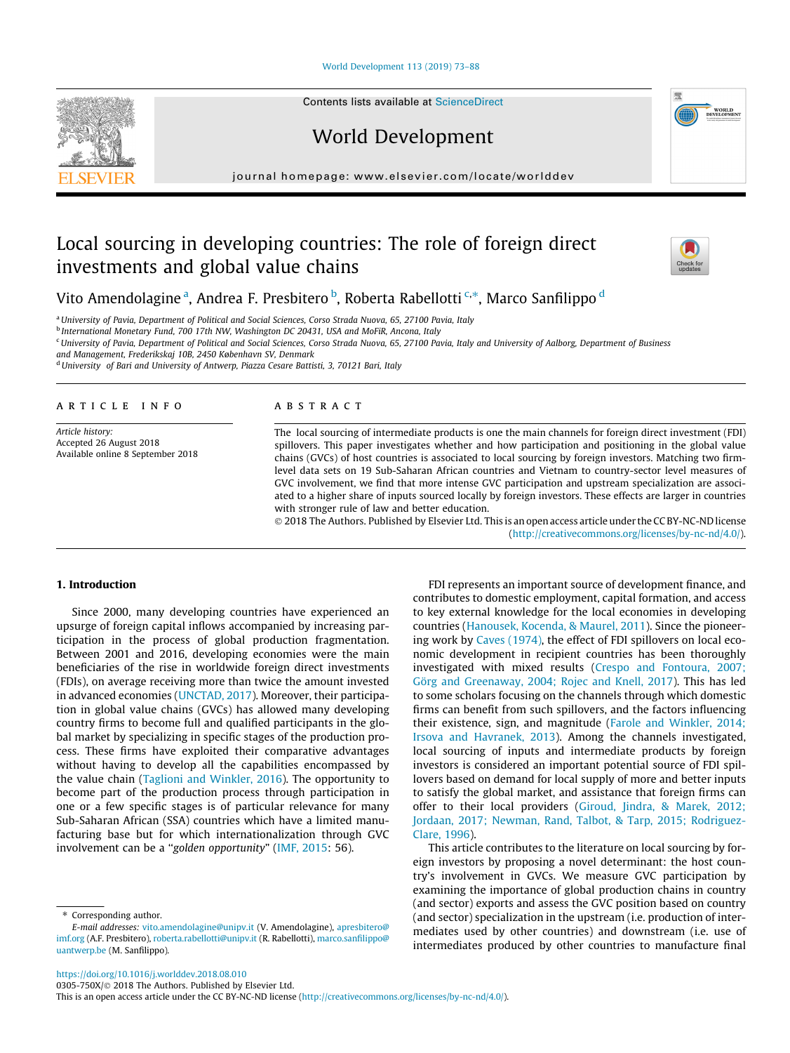[World Development 113 \(2019\) 73–88](https://doi.org/10.1016/j.worlddev.2018.08.010)

Contents lists available at [ScienceDirect](http://www.sciencedirect.com/science/journal/0305750X)

World Development

journal homepage: [www.elsevier.com/locate/worlddev](http://www.elsevier.com/locate/worlddev)

# Local sourcing in developing countries: The role of foreign direct investments and global value chains



Vito Amendolagine <sup>a</sup>, Andrea F. Presbitero <sup>b</sup>, Roberta Rabellotti <sup>c,</sup>\*, Marco Sanfilippo <sup>d</sup>

a University of Pavia, Department of Political and Social Sciences, Corso Strada Nuova, 65, 27100 Pavia, Italy

<sup>b</sup> International Monetary Fund, 700 17th NW, Washington DC 20431, USA and MoFiR, Ancona, Italy

<sup>c</sup> University of Pavia, Department of Political and Social Sciences, Corso Strada Nuova, 65, 27100 Pavia, Italy and University of Aalborg, Department of Business

and Management, Frederikskaj 10B, 2450 København SV, Denmark

<sup>d</sup> University of Bari and University of Antwerp, Piazza Cesare Battisti, 3, 70121 Bari, Italy

### article info

Article history: Accepted 26 August 2018 Available online 8 September 2018

### **ABSTRACT**

The local sourcing of intermediate products is one the main channels for foreign direct investment (FDI) spillovers. This paper investigates whether and how participation and positioning in the global value chains (GVCs) of host countries is associated to local sourcing by foreign investors. Matching two firmlevel data sets on 19 Sub-Saharan African countries and Vietnam to country-sector level measures of GVC involvement, we find that more intense GVC participation and upstream specialization are associated to a higher share of inputs sourced locally by foreign investors. These effects are larger in countries with stronger rule of law and better education.

 2018 The Authors. Published by Elsevier Ltd. This is an open access article under the CC BY-NC-ND license (<http://creativecommons.org/licenses/by-nc-nd/4.0/>).

### 1. Introduction

Since 2000, many developing countries have experienced an upsurge of foreign capital inflows accompanied by increasing participation in the process of global production fragmentation. Between 2001 and 2016, developing economies were the main beneficiaries of the rise in worldwide foreign direct investments (FDIs), on average receiving more than twice the amount invested in advanced economies ([UNCTAD, 2017\)](#page-15-0). Moreover, their participation in global value chains (GVCs) has allowed many developing country firms to become full and qualified participants in the global market by specializing in specific stages of the production process. These firms have exploited their comparative advantages without having to develop all the capabilities encompassed by the value chain ([Taglioni and Winkler, 2016\)](#page-15-0). The opportunity to become part of the production process through participation in one or a few specific stages is of particular relevance for many Sub-Saharan African (SSA) countries which have a limited manufacturing base but for which internationalization through GVC involvement can be a ''golden opportunity" [\(IMF, 2015](#page-14-0): 56).

⇑ Corresponding author.

FDI represents an important source of development finance, and contributes to domestic employment, capital formation, and access to key external knowledge for the local economies in developing countries ([Hanousek, Kocenda, & Maurel, 2011](#page-14-0)). Since the pioneering work by [Caves \(1974\)](#page-14-0), the effect of FDI spillovers on local economic development in recipient countries has been thoroughly investigated with mixed results [\(Crespo and Fontoura, 2007;](#page-14-0) [Görg and Greenaway, 2004; Rojec and Knell, 2017\)](#page-14-0). This has led to some scholars focusing on the channels through which domestic firms can benefit from such spillovers, and the factors influencing their existence, sign, and magnitude [\(Farole and Winkler, 2014;](#page-14-0) [Irsova and Havranek, 2013\)](#page-14-0). Among the channels investigated, local sourcing of inputs and intermediate products by foreign investors is considered an important potential source of FDI spillovers based on demand for local supply of more and better inputs to satisfy the global market, and assistance that foreign firms can offer to their local providers ([Giroud, Jindra, & Marek, 2012;](#page-14-0) [Jordaan, 2017; Newman, Rand, Talbot, & Tarp, 2015; Rodriguez-](#page-14-0)[Clare, 1996](#page-14-0)).

This article contributes to the literature on local sourcing by foreign investors by proposing a novel determinant: the host country's involvement in GVCs. We measure GVC participation by examining the importance of global production chains in country (and sector) exports and assess the GVC position based on country (and sector) specialization in the upstream (i.e. production of intermediates used by other countries) and downstream (i.e. use of intermediates produced by other countries to manufacture final

<https://doi.org/10.1016/j.worlddev.2018.08.010>

0305-750X/@ 2018 The Authors. Published by Elsevier Ltd.



E-mail addresses: [vito.amendolagine@unipv.it](mailto:vito.amendolagine@unipv.it) (V. Amendolagine), [apresbitero@](mailto:apresbitero@ imf.org) [imf.org](mailto:apresbitero@ imf.org) (A.F. Presbitero), [roberta.rabellotti@unipv.it](mailto:roberta.rabellotti@unipv.it) (R. Rabellotti), [marco.sanfilippo@](mailto:marco.sanfilippo@ uantwerp.be) [uantwerp.be](mailto:marco.sanfilippo@ uantwerp.be) (M. Sanfilippo).

This is an open access article under the CC BY-NC-ND license ([http://creativecommons.org/licenses/by-nc-nd/4.0/\)](http://creativecommons.org/licenses/by-nc-nd/4.0/).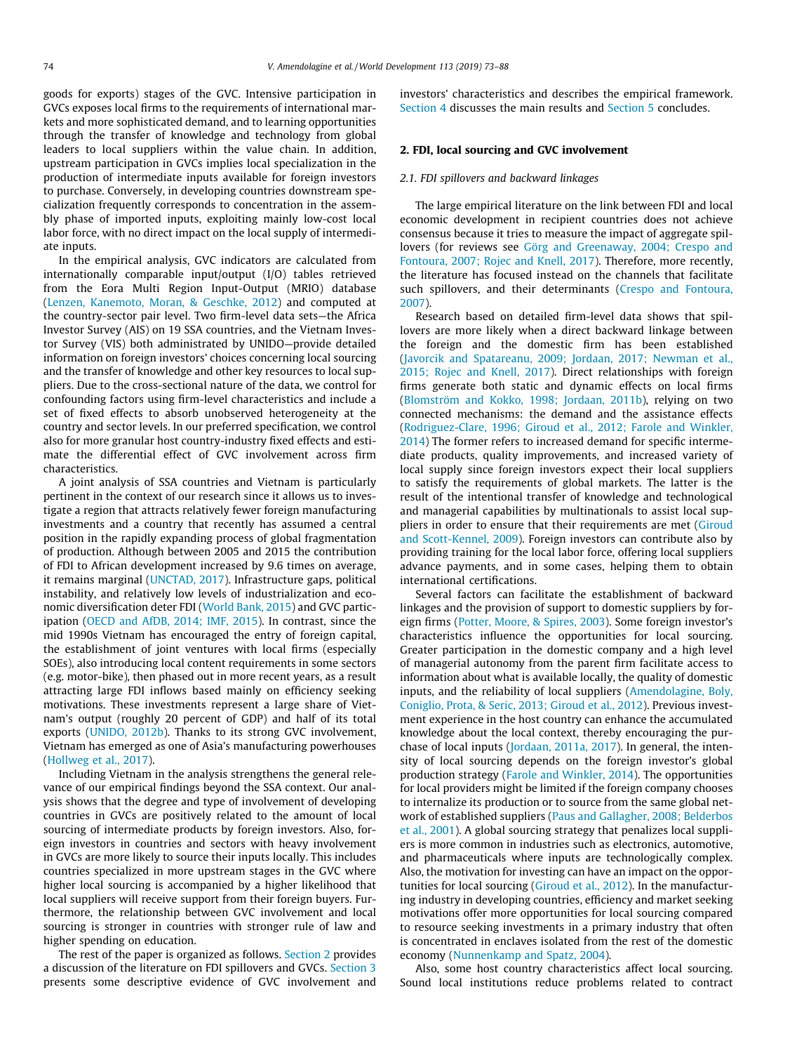<span id="page-1-0"></span>goods for exports) stages of the GVC. Intensive participation in GVCs exposes local firms to the requirements of international markets and more sophisticated demand, and to learning opportunities through the transfer of knowledge and technology from global leaders to local suppliers within the value chain. In addition, upstream participation in GVCs implies local specialization in the production of intermediate inputs available for foreign investors to purchase. Conversely, in developing countries downstream specialization frequently corresponds to concentration in the assembly phase of imported inputs, exploiting mainly low-cost local labor force, with no direct impact on the local supply of intermediate inputs.

In the empirical analysis, GVC indicators are calculated from internationally comparable input/output (I/O) tables retrieved from the Eora Multi Region Input-Output (MRIO) database ([Lenzen, Kanemoto, Moran, & Geschke, 2012](#page-14-0)) and computed at the country-sector pair level. Two firm-level data sets—the Africa Investor Survey (AIS) on 19 SSA countries, and the Vietnam Investor Survey (VIS) both administrated by UNIDO—provide detailed information on foreign investors' choices concerning local sourcing and the transfer of knowledge and other key resources to local suppliers. Due to the cross-sectional nature of the data, we control for confounding factors using firm-level characteristics and include a set of fixed effects to absorb unobserved heterogeneity at the country and sector levels. In our preferred specification, we control also for more granular host country-industry fixed effects and estimate the differential effect of GVC involvement across firm characteristics.

A joint analysis of SSA countries and Vietnam is particularly pertinent in the context of our research since it allows us to investigate a region that attracts relatively fewer foreign manufacturing investments and a country that recently has assumed a central position in the rapidly expanding process of global fragmentation of production. Although between 2005 and 2015 the contribution of FDI to African development increased by 9.6 times on average, it remains marginal [\(UNCTAD, 2017](#page-15-0)). Infrastructure gaps, political instability, and relatively low levels of industrialization and economic diversification deter FDI ([World Bank, 2015\)](#page-15-0) and GVC participation ([OECD and AfDB, 2014; IMF, 2015\)](#page-14-0). In contrast, since the mid 1990s Vietnam has encouraged the entry of foreign capital, the establishment of joint ventures with local firms (especially SOEs), also introducing local content requirements in some sectors (e.g. motor-bike), then phased out in more recent years, as a result attracting large FDI inflows based mainly on efficiency seeking motivations. These investments represent a large share of Vietnam's output (roughly 20 percent of GDP) and half of its total exports ([UNIDO, 2012b](#page-15-0)). Thanks to its strong GVC involvement, Vietnam has emerged as one of Asia's manufacturing powerhouses ([Hollweg et al., 2017\)](#page-14-0).

Including Vietnam in the analysis strengthens the general relevance of our empirical findings beyond the SSA context. Our analysis shows that the degree and type of involvement of developing countries in GVCs are positively related to the amount of local sourcing of intermediate products by foreign investors. Also, foreign investors in countries and sectors with heavy involvement in GVCs are more likely to source their inputs locally. This includes countries specialized in more upstream stages in the GVC where higher local sourcing is accompanied by a higher likelihood that local suppliers will receive support from their foreign buyers. Furthermore, the relationship between GVC involvement and local sourcing is stronger in countries with stronger rule of law and higher spending on education.

The rest of the paper is organized as follows. Section 2 provides a discussion of the literature on FDI spillovers and GVCs. [Section 3](#page-2-0) presents some descriptive evidence of GVC involvement and investors' characteristics and describes the empirical framework. [Section 4](#page-5-0) discusses the main results and [Section 5](#page-9-0) concludes.

### 2. FDI, local sourcing and GVC involvement

### 2.1. FDI spillovers and backward linkages

The large empirical literature on the link between FDI and local economic development in recipient countries does not achieve consensus because it tries to measure the impact of aggregate spillovers (for reviews see [Görg and Greenaway, 2004; Crespo and](#page-14-0) [Fontoura, 2007; Rojec and Knell, 2017](#page-14-0)). Therefore, more recently, the literature has focused instead on the channels that facilitate such spillovers, and their determinants ([Crespo and Fontoura,](#page-14-0) [2007\)](#page-14-0).

Research based on detailed firm-level data shows that spillovers are more likely when a direct backward linkage between the foreign and the domestic firm has been established ([Javorcik and Spatareanu, 2009; Jordaan, 2017; Newman et al.,](#page-14-0) [2015; Rojec and Knell, 2017\)](#page-14-0). Direct relationships with foreign firms generate both static and dynamic effects on local firms ([Blomström and Kokko, 1998; Jordaan, 2011b](#page-14-0)), relying on two connected mechanisms: the demand and the assistance effects ([Rodriguez-Clare, 1996; Giroud et al., 2012; Farole and Winkler,](#page-15-0) [2014\)](#page-15-0) The former refers to increased demand for specific intermediate products, quality improvements, and increased variety of local supply since foreign investors expect their local suppliers to satisfy the requirements of global markets. The latter is the result of the intentional transfer of knowledge and technological and managerial capabilities by multinationals to assist local suppliers in order to ensure that their requirements are met ([Giroud](#page-14-0) [and Scott-Kennel, 2009\)](#page-14-0). Foreign investors can contribute also by providing training for the local labor force, offering local suppliers advance payments, and in some cases, helping them to obtain international certifications.

Several factors can facilitate the establishment of backward linkages and the provision of support to domestic suppliers by foreign firms ([Potter, Moore, & Spires, 2003](#page-15-0)). Some foreign investor's characteristics influence the opportunities for local sourcing. Greater participation in the domestic company and a high level of managerial autonomy from the parent firm facilitate access to information about what is available locally, the quality of domestic inputs, and the reliability of local suppliers ([Amendolagine, Boly,](#page-14-0) [Coniglio, Prota, & Seric, 2013; Giroud et al., 2012\)](#page-14-0). Previous investment experience in the host country can enhance the accumulated knowledge about the local context, thereby encouraging the purchase of local inputs [\(Jordaan, 2011a, 2017\)](#page-14-0). In general, the intensity of local sourcing depends on the foreign investor's global production strategy ([Farole and Winkler, 2014\)](#page-14-0). The opportunities for local providers might be limited if the foreign company chooses to internalize its production or to source from the same global network of established suppliers [\(Paus and Gallagher, 2008; Belderbos](#page-15-0) [et al., 2001](#page-15-0)). A global sourcing strategy that penalizes local suppliers is more common in industries such as electronics, automotive, and pharmaceuticals where inputs are technologically complex. Also, the motivation for investing can have an impact on the opportunities for local sourcing ([Giroud et al., 2012\)](#page-14-0). In the manufacturing industry in developing countries, efficiency and market seeking motivations offer more opportunities for local sourcing compared to resource seeking investments in a primary industry that often is concentrated in enclaves isolated from the rest of the domestic economy ([Nunnenkamp and Spatz, 2004](#page-14-0)).

Also, some host country characteristics affect local sourcing. Sound local institutions reduce problems related to contract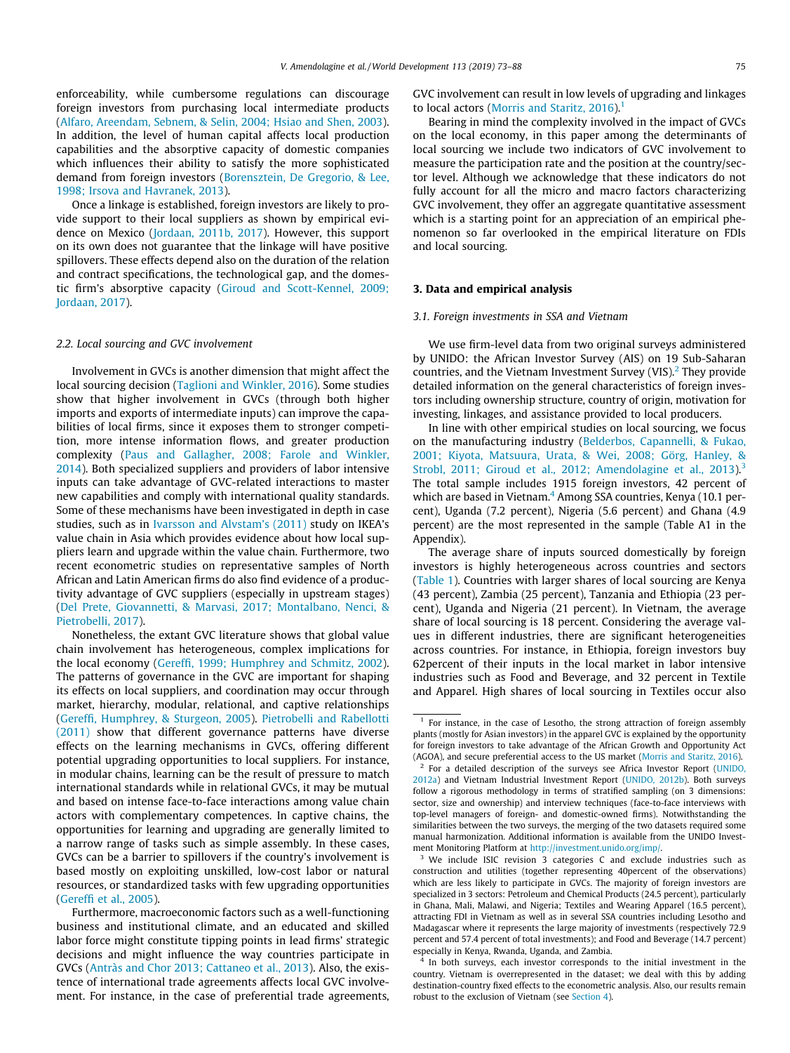<span id="page-2-0"></span>enforceability, while cumbersome regulations can discourage foreign investors from purchasing local intermediate products ([Alfaro, Areendam, Sebnem, & Selin, 2004; Hsiao and Shen, 2003\)](#page-14-0). In addition, the level of human capital affects local production capabilities and the absorptive capacity of domestic companies which influences their ability to satisfy the more sophisticated demand from foreign investors ([Borensztein, De Gregorio, & Lee,](#page-14-0) [1998; Irsova and Havranek, 2013\)](#page-14-0).

Once a linkage is established, foreign investors are likely to provide support to their local suppliers as shown by empirical evidence on Mexico ([Jordaan, 2011b, 2017](#page-14-0)). However, this support on its own does not guarantee that the linkage will have positive spillovers. These effects depend also on the duration of the relation and contract specifications, the technological gap, and the domestic firm's absorptive capacity ([Giroud and Scott-Kennel, 2009;](#page-14-0) [Jordaan, 2017\)](#page-14-0).

### 2.2. Local sourcing and GVC involvement

Involvement in GVCs is another dimension that might affect the local sourcing decision ([Taglioni and Winkler, 2016](#page-15-0)). Some studies show that higher involvement in GVCs (through both higher imports and exports of intermediate inputs) can improve the capabilities of local firms, since it exposes them to stronger competition, more intense information flows, and greater production complexity [\(Paus and Gallagher, 2008; Farole and Winkler,](#page-15-0) [2014\)](#page-15-0). Both specialized suppliers and providers of labor intensive inputs can take advantage of GVC-related interactions to master new capabilities and comply with international quality standards. Some of these mechanisms have been investigated in depth in case studies, such as in [Ivarsson and Alvstam's \(2011\)](#page-14-0) study on IKEA's value chain in Asia which provides evidence about how local suppliers learn and upgrade within the value chain. Furthermore, two recent econometric studies on representative samples of North African and Latin American firms do also find evidence of a productivity advantage of GVC suppliers (especially in upstream stages) ([Del Prete, Giovannetti, & Marvasi, 2017; Montalbano, Nenci, &](#page-14-0) [Pietrobelli, 2017\)](#page-14-0).

Nonetheless, the extant GVC literature shows that global value chain involvement has heterogeneous, complex implications for the local economy ([Gereffi, 1999; Humphrey and Schmitz, 2002\)](#page-14-0). The patterns of governance in the GVC are important for shaping its effects on local suppliers, and coordination may occur through market, hierarchy, modular, relational, and captive relationships ([Gereffi, Humphrey, & Sturgeon, 2005](#page-14-0)). [Pietrobelli and Rabellotti](#page-15-0) [\(2011\)](#page-15-0) show that different governance patterns have diverse effects on the learning mechanisms in GVCs, offering different potential upgrading opportunities to local suppliers. For instance, in modular chains, learning can be the result of pressure to match international standards while in relational GVCs, it may be mutual and based on intense face-to-face interactions among value chain actors with complementary competences. In captive chains, the opportunities for learning and upgrading are generally limited to a narrow range of tasks such as simple assembly. In these cases, GVCs can be a barrier to spillovers if the country's involvement is based mostly on exploiting unskilled, low-cost labor or natural resources, or standardized tasks with few upgrading opportunities ([Gereffi et al., 2005\)](#page-14-0).

Furthermore, macroeconomic factors such as a well-functioning business and institutional climate, and an educated and skilled labor force might constitute tipping points in lead firms' strategic decisions and might influence the way countries participate in GVCs ([Antràs and Chor 2013; Cattaneo et al., 2013](#page-14-0)). Also, the existence of international trade agreements affects local GVC involvement. For instance, in the case of preferential trade agreements, GVC involvement can result in low levels of upgrading and linkages to local actors (Morris and Staritz,  $2016$ ).<sup>1</sup>

Bearing in mind the complexity involved in the impact of GVCs on the local economy, in this paper among the determinants of local sourcing we include two indicators of GVC involvement to measure the participation rate and the position at the country/sector level. Although we acknowledge that these indicators do not fully account for all the micro and macro factors characterizing GVC involvement, they offer an aggregate quantitative assessment which is a starting point for an appreciation of an empirical phenomenon so far overlooked in the empirical literature on FDIs and local sourcing.

### 3. Data and empirical analysis

### 3.1. Foreign investments in SSA and Vietnam

We use firm-level data from two original surveys administered by UNIDO: the African Investor Survey (AIS) on 19 Sub-Saharan countries, and the Vietnam Investment Survey (VIS). $<sup>2</sup>$  They provide</sup> detailed information on the general characteristics of foreign investors including ownership structure, country of origin, motivation for investing, linkages, and assistance provided to local producers.

In line with other empirical studies on local sourcing, we focus on the manufacturing industry ([Belderbos, Capannelli, & Fukao,](#page-14-0) [2001; Kiyota, Matsuura, Urata, & Wei, 2008; Görg, Hanley, &](#page-14-0) [Strobl, 2011; Giroud et al., 2012; Amendolagine et al., 2013](#page-14-0)). $3$ The total sample includes 1915 foreign investors, 42 percent of which are based in Vietnam.<sup>4</sup> Among SSA countries, Kenya (10.1 percent), Uganda (7.2 percent), Nigeria (5.6 percent) and Ghana (4.9 percent) are the most represented in the sample (Table A1 in the Appendix).

The average share of inputs sourced domestically by foreign investors is highly heterogeneous across countries and sectors ([Table 1](#page-3-0)). Countries with larger shares of local sourcing are Kenya (43 percent), Zambia (25 percent), Tanzania and Ethiopia (23 percent), Uganda and Nigeria (21 percent). In Vietnam, the average share of local sourcing is 18 percent. Considering the average values in different industries, there are significant heterogeneities across countries. For instance, in Ethiopia, foreign investors buy 62percent of their inputs in the local market in labor intensive industries such as Food and Beverage, and 32 percent in Textile and Apparel. High shares of local sourcing in Textiles occur also

 $1$  For instance, in the case of Lesotho, the strong attraction of foreign assembly plants (mostly for Asian investors) in the apparel GVC is explained by the opportunity for foreign investors to take advantage of the African Growth and Opportunity Act (AGOA), and secure preferential access to the US market [\(Morris and Staritz, 2016](#page-14-0)).

<sup>2</sup> For a detailed description of the surveys see Africa Investor Report ([UNIDO,](#page-15-0) [2012a\)](#page-15-0) and Vietnam Industrial Investment Report ([UNIDO, 2012b\)](#page-15-0). Both surveys follow a rigorous methodology in terms of stratified sampling (on 3 dimensions: sector, size and ownership) and interview techniques (face-to-face interviews with top-level managers of foreign- and domestic-owned firms). Notwithstanding the similarities between the two surveys, the merging of the two datasets required some manual harmonization. Additional information is available from the UNIDO Investment Monitoring Platform at <http://investment.unido.org/imp/>.

<sup>&</sup>lt;sup>3</sup> We include ISIC revision 3 categories C and exclude industries such as construction and utilities (together representing 40percent of the observations) which are less likely to participate in GVCs. The majority of foreign investors are specialized in 3 sectors: Petroleum and Chemical Products (24.5 percent), particularly in Ghana, Mali, Malawi, and Nigeria; Textiles and Wearing Apparel (16.5 percent), attracting FDI in Vietnam as well as in several SSA countries including Lesotho and Madagascar where it represents the large majority of investments (respectively 72.9 percent and 57.4 percent of total investments); and Food and Beverage (14.7 percent) especially in Kenya, Rwanda, Uganda, and Zambia.

In both surveys, each investor corresponds to the initial investment in the country. Vietnam is overrepresented in the dataset; we deal with this by adding destination-country fixed effects to the econometric analysis. Also, our results remain robust to the exclusion of Vietnam (see [Section 4\)](#page-5-0).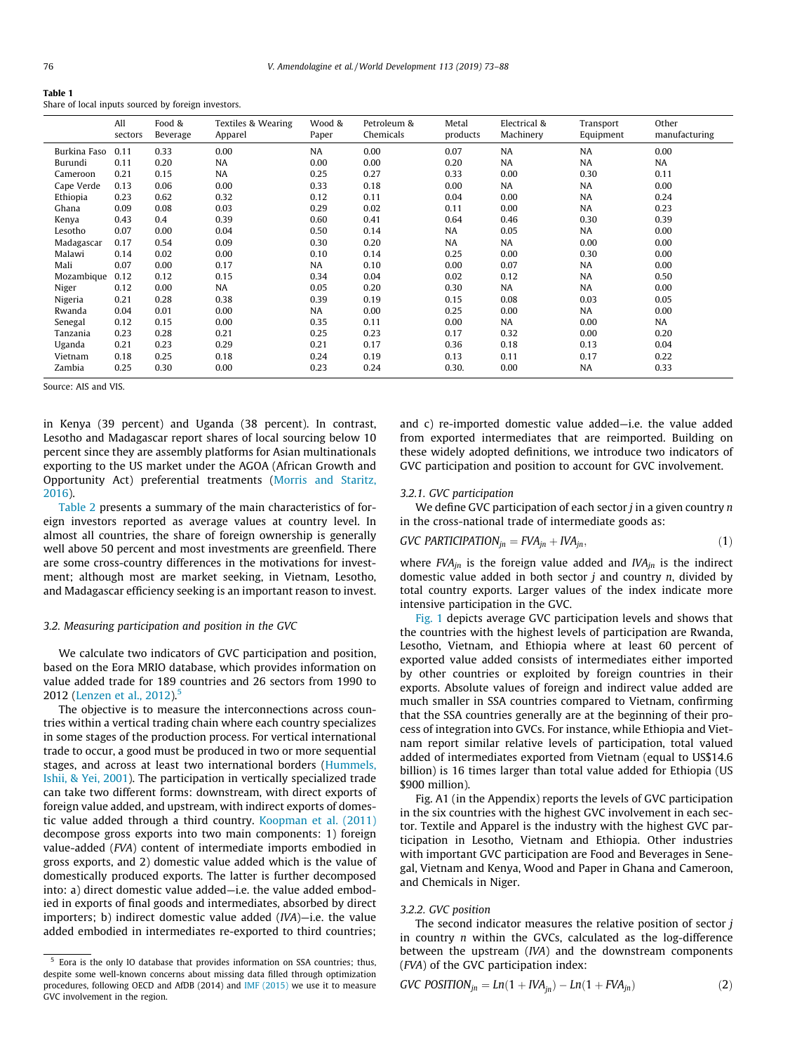<span id="page-3-0"></span>

| Table 1                                             |  |
|-----------------------------------------------------|--|
| Share of local inputs sourced by foreign investors. |  |

|              | All<br>sectors | Food &<br>Beverage | Textiles & Wearing<br>Apparel | Wood &<br>Paper | Petroleum &<br>Chemicals | Metal<br>products | Electrical &<br>Machinery | Transport<br>Equipment | Other<br>manufacturing |
|--------------|----------------|--------------------|-------------------------------|-----------------|--------------------------|-------------------|---------------------------|------------------------|------------------------|
| Burkina Faso | 0.11           | 0.33               | 0.00                          | NA              | 0.00                     | 0.07              | <b>NA</b>                 | NA                     | 0.00                   |
| Burundi      | 0.11           | 0.20               | <b>NA</b>                     | 0.00            | 0.00                     | 0.20              | <b>NA</b>                 | <b>NA</b>              | <b>NA</b>              |
| Cameroon     | 0.21           | 0.15               | <b>NA</b>                     | 0.25            | 0.27                     | 0.33              | 0.00                      | 0.30                   | 0.11                   |
| Cape Verde   | 0.13           | 0.06               | 0.00                          | 0.33            | 0.18                     | 0.00              | <b>NA</b>                 | <b>NA</b>              | 0.00                   |
| Ethiopia     | 0.23           | 0.62               | 0.32                          | 0.12            | 0.11                     | 0.04              | 0.00                      | <b>NA</b>              | 0.24                   |
| Ghana        | 0.09           | 0.08               | 0.03                          | 0.29            | 0.02                     | 0.11              | 0.00                      | <b>NA</b>              | 0.23                   |
| Kenya        | 0.43           | 0.4                | 0.39                          | 0.60            | 0.41                     | 0.64              | 0.46                      | 0.30                   | 0.39                   |
| Lesotho      | 0.07           | 0.00               | 0.04                          | 0.50            | 0.14                     | <b>NA</b>         | 0.05                      | <b>NA</b>              | 0.00                   |
| Madagascar   | 0.17           | 0.54               | 0.09                          | 0.30            | 0.20                     | <b>NA</b>         | <b>NA</b>                 | 0.00                   | 0.00                   |
| Malawi       | 0.14           | 0.02               | 0.00                          | 0.10            | 0.14                     | 0.25              | 0.00                      | 0.30                   | 0.00                   |
| Mali         | 0.07           | 0.00               | 0.17                          | NA              | 0.10                     | 0.00              | 0.07                      | <b>NA</b>              | 0.00                   |
| Mozambique   | 0.12           | 0.12               | 0.15                          | 0.34            | 0.04                     | 0.02              | 0.12                      | <b>NA</b>              | 0.50                   |
| Niger        | 0.12           | 0.00               | NA                            | 0.05            | 0.20                     | 0.30              | <b>NA</b>                 | <b>NA</b>              | 0.00                   |
| Nigeria      | 0.21           | 0.28               | 0.38                          | 0.39            | 0.19                     | 0.15              | 0.08                      | 0.03                   | 0.05                   |
| Rwanda       | 0.04           | 0.01               | 0.00                          | NA              | 0.00                     | 0.25              | 0.00                      | <b>NA</b>              | 0.00                   |
| Senegal      | 0.12           | 0.15               | 0.00                          | 0.35            | 0.11                     | 0.00              | <b>NA</b>                 | 0.00                   | <b>NA</b>              |
| Tanzania     | 0.23           | 0.28               | 0.21                          | 0.25            | 0.23                     | 0.17              | 0.32                      | 0.00                   | 0.20                   |
| Uganda       | 0.21           | 0.23               | 0.29                          | 0.21            | 0.17                     | 0.36              | 0.18                      | 0.13                   | 0.04                   |
| Vietnam      | 0.18           | 0.25               | 0.18                          | 0.24            | 0.19                     | 0.13              | 0.11                      | 0.17                   | 0.22                   |
| Zambia       | 0.25           | 0.30               | 0.00                          | 0.23            | 0.24                     | 0.30.             | 0.00                      | NA                     | 0.33                   |

Source: AIS and VIS.

in Kenya (39 percent) and Uganda (38 percent). In contrast, Lesotho and Madagascar report shares of local sourcing below 10 percent since they are assembly platforms for Asian multinationals exporting to the US market under the AGOA (African Growth and Opportunity Act) preferential treatments ([Morris and Staritz,](#page-14-0) [2016\)](#page-14-0).

[Table 2](#page-4-0) presents a summary of the main characteristics of foreign investors reported as average values at country level. In almost all countries, the share of foreign ownership is generally well above 50 percent and most investments are greenfield. There are some cross-country differences in the motivations for investment; although most are market seeking, in Vietnam, Lesotho, and Madagascar efficiency seeking is an important reason to invest.

### 3.2. Measuring participation and position in the GVC

We calculate two indicators of GVC participation and position, based on the Eora MRIO database, which provides information on value added trade for 189 countries and 26 sectors from 1990 to 2012 [\(Lenzen et al., 2012\)](#page-14-0).<sup>5</sup>

The objective is to measure the interconnections across countries within a vertical trading chain where each country specializes in some stages of the production process. For vertical international trade to occur, a good must be produced in two or more sequential stages, and across at least two international borders [\(Hummels,](#page-14-0) [Ishii, & Yei, 2001\)](#page-14-0). The participation in vertically specialized trade can take two different forms: downstream, with direct exports of foreign value added, and upstream, with indirect exports of domestic value added through a third country. [Koopman et al. \(2011\)](#page-14-0) decompose gross exports into two main components: 1) foreign value-added (FVA) content of intermediate imports embodied in gross exports, and 2) domestic value added which is the value of domestically produced exports. The latter is further decomposed into: a) direct domestic value added—i.e. the value added embodied in exports of final goods and intermediates, absorbed by direct importers; b) indirect domestic value added (IVA)—i.e. the value added embodied in intermediates re-exported to third countries; and c) re-imported domestic value added—i.e. the value added from exported intermediates that are reimported. Building on these widely adopted definitions, we introduce two indicators of GVC participation and position to account for GVC involvement.

### 3.2.1. GVC participation

We define GVC participation of each sector  $j$  in a given country  $n$ in the cross-national trade of intermediate goods as:

$$
GVC \; PARTICIPATION_{jn} = FVA_{jn} + IVA_{jn}, \qquad (1)
$$

where  $FVA_{in}$  is the foreign value added and  $IVA_{in}$  is the indirect domestic value added in both sector  $j$  and country  $n$ , divided by total country exports. Larger values of the index indicate more intensive participation in the GVC.

[Fig. 1](#page-4-0) depicts average GVC participation levels and shows that the countries with the highest levels of participation are Rwanda, Lesotho, Vietnam, and Ethiopia where at least 60 percent of exported value added consists of intermediates either imported by other countries or exploited by foreign countries in their exports. Absolute values of foreign and indirect value added are much smaller in SSA countries compared to Vietnam, confirming that the SSA countries generally are at the beginning of their process of integration into GVCs. For instance, while Ethiopia and Vietnam report similar relative levels of participation, total valued added of intermediates exported from Vietnam (equal to US\$14.6 billion) is 16 times larger than total value added for Ethiopia (US \$900 million).

Fig. A1 (in the Appendix) reports the levels of GVC participation in the six countries with the highest GVC involvement in each sector. Textile and Apparel is the industry with the highest GVC participation in Lesotho, Vietnam and Ethiopia. Other industries with important GVC participation are Food and Beverages in Senegal, Vietnam and Kenya, Wood and Paper in Ghana and Cameroon, and Chemicals in Niger.

## 3.2.2. GVC position

The second indicator measures the relative position of sector j in country  $n$  within the GVCs, calculated as the log-difference between the upstream (IVA) and the downstream components (FVA) of the GVC participation index:

$$
GVC \; POSTTION_{jn} = Ln(1 + IVA_{jn}) - Ln(1 + FVA_{jn}) \tag{2}
$$

 $5$  Eora is the only IO database that provides information on SSA countries; thus, despite some well-known concerns about missing data filled through optimization procedures, following OECD and AfDB (2014) and [IMF \(2015\)](#page-14-0) we use it to measure GVC involvement in the region.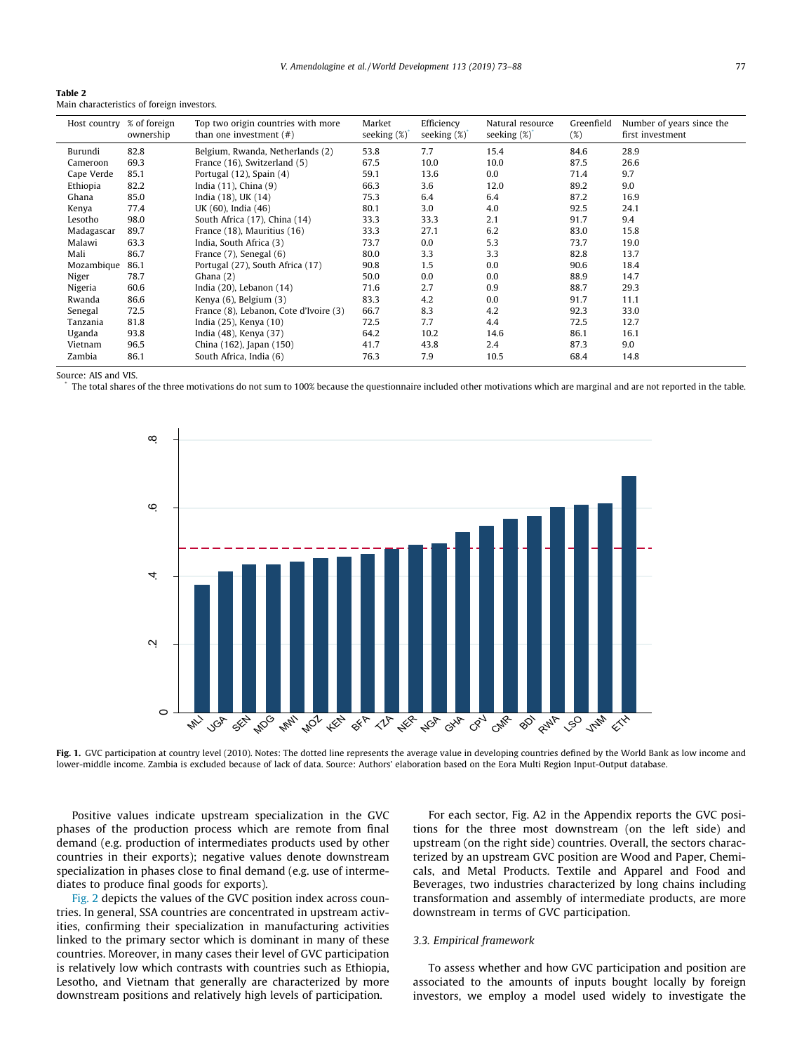<span id="page-4-0"></span>

| Table 2                                    |  |
|--------------------------------------------|--|
| Main characteristics of foreign investors. |  |

| Host country % of foreign | ownership | Top two origin countries with more<br>than one investment $(#)$ | Market<br>seeking (%) | Efficiency<br>seeking (%) | Natural resource<br>seeking $(\%)$ | Greenfield<br>$(\%)$ | Number of years since the<br>first investment |
|---------------------------|-----------|-----------------------------------------------------------------|-----------------------|---------------------------|------------------------------------|----------------------|-----------------------------------------------|
| Burundi                   | 82.8      | Belgium, Rwanda, Netherlands (2)                                | 53.8                  | 7.7                       | 15.4                               | 84.6                 | 28.9                                          |
| Cameroon                  | 69.3      | France (16), Switzerland (5)                                    | 67.5                  | 10.0                      | 10.0                               | 87.5                 | 26.6                                          |
| Cape Verde                | 85.1      | Portugal (12), Spain (4)                                        | 59.1                  | 13.6                      | 0.0                                | 71.4                 | 9.7                                           |
| Ethiopia                  | 82.2      | India (11), China (9)                                           | 66.3                  | 3.6                       | 12.0                               | 89.2                 | 9.0                                           |
| Ghana                     | 85.0      | India (18), UK (14)                                             | 75.3                  | 6.4                       | 6.4                                | 87.2                 | 16.9                                          |
| Kenya                     | 77.4      | UK (60), India (46)                                             | 80.1                  | 3.0                       | 4.0                                | 92.5                 | 24.1                                          |
| Lesotho                   | 98.0      | South Africa (17), China (14)                                   | 33.3                  | 33.3                      | 2.1                                | 91.7                 | 9.4                                           |
| Madagascar                | 89.7      | France (18), Mauritius (16)                                     | 33.3                  | 27.1                      | 6.2                                | 83.0                 | 15.8                                          |
| Malawi                    | 63.3      | India, South Africa (3)                                         | 73.7                  | 0.0                       | 5.3                                | 73.7                 | 19.0                                          |
| Mali                      | 86.7      | France $(7)$ , Senegal $(6)$                                    | 80.0                  | 3.3                       | 3.3                                | 82.8                 | 13.7                                          |
| Mozambique                | 86.1      | Portugal (27), South Africa (17)                                | 90.8                  | 1.5                       | 0.0                                | 90.6                 | 18.4                                          |
| Niger                     | 78.7      | Ghana $(2)$                                                     | 50.0                  | 0.0                       | 0.0                                | 88.9                 | 14.7                                          |
| Nigeria                   | 60.6      | India $(20)$ , Lebanon $(14)$                                   | 71.6                  | 2.7                       | 0.9                                | 88.7                 | 29.3                                          |
| Rwanda                    | 86.6      | Kenya (6), Belgium (3)                                          | 83.3                  | 4.2                       | 0.0                                | 91.7                 | 11.1                                          |
| Senegal                   | 72.5      | France (8), Lebanon, Cote d'Ivoire (3)                          | 66.7                  | 8.3                       | 4.2                                | 92.3                 | 33.0                                          |
| Tanzania                  | 81.8      | India (25), Kenya (10)                                          | 72.5                  | 7.7                       | 4.4                                | 72.5                 | 12.7                                          |
| Uganda                    | 93.8      | India (48), Kenya (37)                                          | 64.2                  | 10.2                      | 14.6                               | 86.1                 | 16.1                                          |
| Vietnam                   | 96.5      | China (162), Japan (150)                                        | 41.7                  | 43.8                      | 2.4                                | 87.3                 | 9.0                                           |
| Zambia                    | 86.1      | South Africa, India (6)                                         | 76.3                  | 7.9                       | 10.5                               | 68.4                 | 14.8                                          |

Source: AIS and VIS.

The total shares of the three motivations do not sum to 100% because the questionnaire included other motivations which are marginal and are not reported in the table.



Fig. 1. GVC participation at country level (2010). Notes: The dotted line represents the average value in developing countries defined by the World Bank as low income and lower-middle income. Zambia is excluded because of lack of data. Source: Authors' elaboration based on the Eora Multi Region Input-Output database.

Positive values indicate upstream specialization in the GVC phases of the production process which are remote from final demand (e.g. production of intermediates products used by other countries in their exports); negative values denote downstream specialization in phases close to final demand (e.g. use of intermediates to produce final goods for exports).

[Fig. 2](#page-5-0) depicts the values of the GVC position index across countries. In general, SSA countries are concentrated in upstream activities, confirming their specialization in manufacturing activities linked to the primary sector which is dominant in many of these countries. Moreover, in many cases their level of GVC participation is relatively low which contrasts with countries such as Ethiopia, Lesotho, and Vietnam that generally are characterized by more downstream positions and relatively high levels of participation.

For each sector, Fig. A2 in the Appendix reports the GVC positions for the three most downstream (on the left side) and upstream (on the right side) countries. Overall, the sectors characterized by an upstream GVC position are Wood and Paper, Chemicals, and Metal Products. Textile and Apparel and Food and Beverages, two industries characterized by long chains including transformation and assembly of intermediate products, are more downstream in terms of GVC participation.

## 3.3. Empirical framework

To assess whether and how GVC participation and position are associated to the amounts of inputs bought locally by foreign investors, we employ a model used widely to investigate the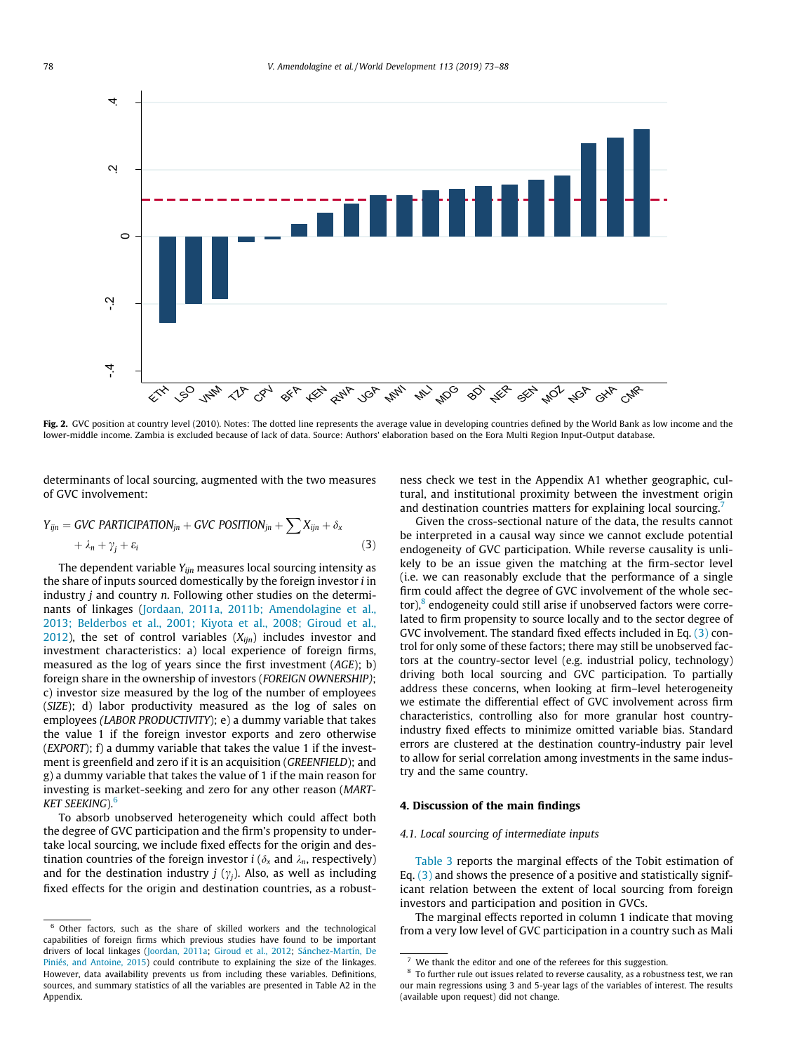<span id="page-5-0"></span>

Fig. 2. GVC position at country level (2010). Notes: The dotted line represents the average value in developing countries defined by the World Bank as low income and the lower-middle income. Zambia is excluded because of lack of data. Source: Authors' elaboration based on the Eora Multi Region Input-Output database.

determinants of local sourcing, augmented with the two measures of GVC involvement:

$$
Y_{ijn} = GVC \; PARTICIPATION_{jn} + GVC \; POSTION_{jn} + \sum X_{ijn} + \delta_x
$$
  
+  $\lambda_n + \gamma_j + \varepsilon_i$  (3)

The dependent variable  $Y_{ijn}$  measures local sourcing intensity as the share of inputs sourced domestically by the foreign investor i in industry  $j$  and country  $n$ . Following other studies on the determinants of linkages ([Jordaan, 2011a, 2011b; Amendolagine et al.,](#page-14-0) [2013; Belderbos et al., 2001; Kiyota et al., 2008; Giroud et al.,](#page-14-0) [2012\)](#page-14-0), the set of control variables  $(X_{ijn})$  includes investor and investment characteristics: a) local experience of foreign firms, measured as the log of years since the first investment (AGE); b) foreign share in the ownership of investors (FOREIGN OWNERSHIP); c) investor size measured by the log of the number of employees (SIZE); d) labor productivity measured as the log of sales on employees (LABOR PRODUCTIVITY); e) a dummy variable that takes the value 1 if the foreign investor exports and zero otherwise (EXPORT); f) a dummy variable that takes the value 1 if the investment is greenfield and zero if it is an acquisition (GREENFIELD); and g) a dummy variable that takes the value of 1 if the main reason for investing is market-seeking and zero for any other reason (MART-KET SEEKING).<sup>6</sup>

To absorb unobserved heterogeneity which could affect both the degree of GVC participation and the firm's propensity to undertake local sourcing, we include fixed effects for the origin and destination countries of the foreign investor  $i$  ( $\delta_x$  and  $\lambda_n$ , respectively) and for the destination industry  $j(\gamma_j)$ . Also, as well as including fixed effects for the origin and destination countries, as a robustness check we test in the Appendix A1 whether geographic, cultural, and institutional proximity between the investment origin and destination countries matters for explaining local sourcing.

Given the cross-sectional nature of the data, the results cannot be interpreted in a causal way since we cannot exclude potential endogeneity of GVC participation. While reverse causality is unlikely to be an issue given the matching at the firm-sector level (i.e. we can reasonably exclude that the performance of a single firm could affect the degree of GVC involvement of the whole sector), $8$  endogeneity could still arise if unobserved factors were correlated to firm propensity to source locally and to the sector degree of GVC involvement. The standard fixed effects included in Eq. (3) control for only some of these factors; there may still be unobserved factors at the country-sector level (e.g. industrial policy, technology) driving both local sourcing and GVC participation. To partially address these concerns, when looking at firm–level heterogeneity we estimate the differential effect of GVC involvement across firm characteristics, controlling also for more granular host countryindustry fixed effects to minimize omitted variable bias. Standard errors are clustered at the destination country-industry pair level to allow for serial correlation among investments in the same industry and the same country.

### 4. Discussion of the main findings

### 4.1. Local sourcing of intermediate inputs

[Table 3](#page-6-0) reports the marginal effects of the Tobit estimation of Eq.  $(3)$  and shows the presence of a positive and statistically significant relation between the extent of local sourcing from foreign investors and participation and position in GVCs.

The marginal effects reported in column 1 indicate that moving from a very low level of GVC participation in a country such as Mali

 $6$  Other factors, such as the share of skilled workers and the technological capabilities of foreign firms which previous studies have found to be important drivers of local linkages [\(Joordan, 2011a](#page-14-0); [Giroud et al., 2012;](#page-14-0) [Sánchez-Martín, De](#page-15-0) [Piniés, and Antoine, 2015](#page-15-0)) could contribute to explaining the size of the linkages. However, data availability prevents us from including these variables. Definitions, sources, and summary statistics of all the variables are presented in Table A2 in the Appendix.

<sup>7</sup> We thank the editor and one of the referees for this suggestion.

 $8\,$  To further rule out issues related to reverse causality, as a robustness test, we ran our main regressions using 3 and 5-year lags of the variables of interest. The results (available upon request) did not change.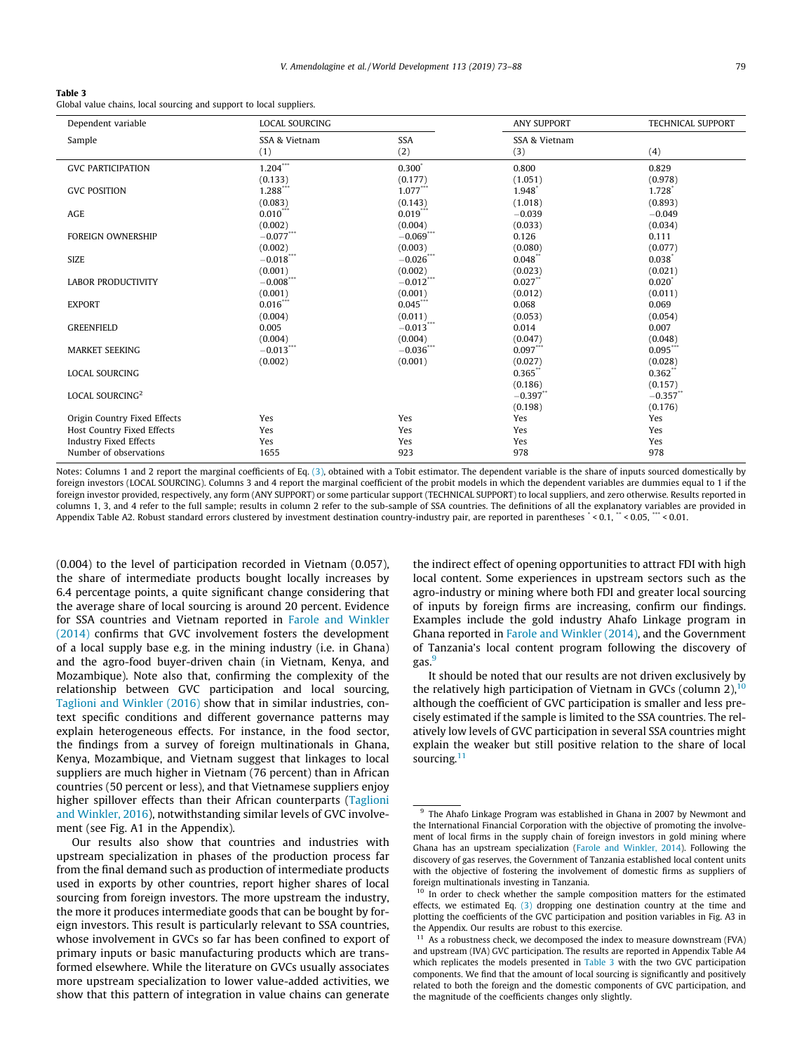#### <span id="page-6-0"></span>Table 3

Global value chains, local sourcing and support to local suppliers.

| Dependent variable<br>LOCAL SOURCING<br><b>ANY SUPPORT</b>                            | <b>TECHNICAL SUPPORT</b> |
|---------------------------------------------------------------------------------------|--------------------------|
| SSA & Vietnam<br><b>SSA</b><br>SSA & Vietnam<br>Sample                                |                          |
| (2)<br>(1)<br>(3)<br>(4)                                                              |                          |
| $1.204***$<br>$0.300*$<br>0.800<br><b>GVC PARTICIPATION</b><br>0.829                  |                          |
| (0.177)<br>(0.133)<br>(1.051)<br>(0.978)                                              |                          |
| $1.288***$<br>$1.077***$<br>1.948<br>1.728<br><b>GVC POSITION</b>                     |                          |
| (0.083)<br>(0.143)<br>(1.018)<br>(0.893)                                              |                          |
| $0.010$ <sup>***</sup><br>$0.019***$<br>$-0.049$<br><b>AGE</b><br>$-0.039$            |                          |
| (0.034)<br>(0.002)<br>(0.004)<br>(0.033)                                              |                          |
| $-0.069$ ***<br>$-0.077***$<br><b>FOREIGN OWNERSHIP</b><br>0.126<br>0.111             |                          |
| (0.002)<br>(0.003)<br>(0.080)<br>(0.077)                                              |                          |
| $-0.018$ ***<br>$-0.026$ ***<br>0.048<br>$0.038^{*}$<br><b>SIZE</b>                   |                          |
| (0.001)<br>(0.002)<br>(0.021)<br>(0.023)                                              |                          |
| $-0.012$ ***<br>$-0.008$ ***<br>$0.027$ "<br>$0.020^{*}$<br><b>LABOR PRODUCTIVITY</b> |                          |
| (0.001)<br>(0.001)<br>(0.012)<br>(0.011)                                              |                          |
| $0.016$ <sup>***</sup><br>$0.045$ ***<br><b>EXPORT</b><br>0.068<br>0.069              |                          |
| (0.011)<br>(0.004)<br>(0.053)<br>(0.054)                                              |                          |
| $-0.013$ ***<br>0.005<br>0.007<br><b>GREENFIELD</b><br>0.014                          |                          |
| (0.004)<br>(0.004)<br>(0.047)<br>(0.048)                                              |                          |
| $-0.013$<br>$0.097***$<br>$0.095***$<br>$-0.036$<br><b>MARKET SEEKING</b>             |                          |
| (0.002)<br>(0.001)<br>(0.027)<br>(0.028)                                              |                          |
| $0.362$ <sup>**</sup><br>0.365<br>LOCAL SOURCING                                      |                          |
| (0.186)<br>(0.157)                                                                    |                          |
| $-0.357$ **<br>LOCAL SOURCING <sup>2</sup><br>$-0.397$ **                             |                          |
| (0.176)<br>(0.198)                                                                    |                          |
| Origin Country Fixed Effects<br>Yes<br>Yes<br>Yes<br>Yes                              |                          |
| Host Country Fixed Effects<br>Yes<br>Yes<br>Yes<br>Yes                                |                          |
| <b>Industry Fixed Effects</b><br>Yes<br>Yes<br>Yes<br>Yes                             |                          |
| Number of observations<br>923<br>978<br>978<br>1655                                   |                          |

Notes: Columns 1 and 2 report the marginal coefficients of Eq. [\(3\)](#page-5-0), obtained with a Tobit estimator. The dependent variable is the share of inputs sourced domestically by foreign investors (LOCAL SOURCING). Columns 3 and 4 report the marginal coefficient of the probit models in which the dependent variables are dummies equal to 1 if the foreign investor provided, respectively, any form (ANY SUPPORT) or some particular support (TECHNICAL SUPPORT) to local suppliers, and zero otherwise. Results reported in columns 1, 3, and 4 refer to the full sample; results in column 2 refer to the sub-sample of SSA countries. The definitions of all the explanatory variables are provided in Appendix Table A2. Robust standard errors clustered by investment destination country-industry pair, are reported in parentheses  $\leq 0.1$ ,  $\leq 0.05$ ,  $\leq 0.01$ .

(0.004) to the level of participation recorded in Vietnam (0.057), the share of intermediate products bought locally increases by 6.4 percentage points, a quite significant change considering that the average share of local sourcing is around 20 percent. Evidence for SSA countries and Vietnam reported in [Farole and Winkler](#page-14-0) [\(2014\)](#page-14-0) confirms that GVC involvement fosters the development of a local supply base e.g. in the mining industry (i.e. in Ghana) and the agro-food buyer-driven chain (in Vietnam, Kenya, and Mozambique). Note also that, confirming the complexity of the relationship between GVC participation and local sourcing, [Taglioni and Winkler \(2016\)](#page-15-0) show that in similar industries, context specific conditions and different governance patterns may explain heterogeneous effects. For instance, in the food sector, the findings from a survey of foreign multinationals in Ghana, Kenya, Mozambique, and Vietnam suggest that linkages to local suppliers are much higher in Vietnam (76 percent) than in African countries (50 percent or less), and that Vietnamese suppliers enjoy higher spillover effects than their African counterparts [\(Taglioni](#page-15-0) [and Winkler, 2016\)](#page-15-0), notwithstanding similar levels of GVC involvement (see Fig. A1 in the Appendix).

Our results also show that countries and industries with upstream specialization in phases of the production process far from the final demand such as production of intermediate products used in exports by other countries, report higher shares of local sourcing from foreign investors. The more upstream the industry, the more it produces intermediate goods that can be bought by foreign investors. This result is particularly relevant to SSA countries, whose involvement in GVCs so far has been confined to export of primary inputs or basic manufacturing products which are transformed elsewhere. While the literature on GVCs usually associates more upstream specialization to lower value-added activities, we show that this pattern of integration in value chains can generate

the indirect effect of opening opportunities to attract FDI with high local content. Some experiences in upstream sectors such as the agro-industry or mining where both FDI and greater local sourcing of inputs by foreign firms are increasing, confirm our findings. Examples include the gold industry Ahafo Linkage program in Ghana reported in [Farole and Winkler \(2014\),](#page-14-0) and the Government of Tanzania's local content program following the discovery of gas.9

It should be noted that our results are not driven exclusively by the relatively high participation of Vietnam in GVCs (column 2), $10$ although the coefficient of GVC participation is smaller and less precisely estimated if the sample is limited to the SSA countries. The relatively low levels of GVC participation in several SSA countries might explain the weaker but still positive relation to the share of local sourcing.<sup>11</sup>

 $9$  The Ahafo Linkage Program was established in Ghana in 2007 by Newmont and the International Financial Corporation with the objective of promoting the involvement of local firms in the supply chain of foreign investors in gold mining where Ghana has an upstream specialization ([Farole and Winkler, 2014\)](#page-14-0). Following the discovery of gas reserves, the Government of Tanzania established local content units with the objective of fostering the involvement of domestic firms as suppliers of foreign multinationals investing in Tanzania.

<sup>&</sup>lt;sup>10</sup> In order to check whether the sample composition matters for the estimated effects, we estimated Eq. [\(3\)](#page-5-0) dropping one destination country at the time and plotting the coefficients of the GVC participation and position variables in Fig. A3 in the Appendix. Our results are robust to this exercise.

As a robustness check, we decomposed the index to measure downstream (FVA) and upstream (IVA) GVC participation. The results are reported in Appendix Table A4 which replicates the models presented in Table 3 with the two GVC participation components. We find that the amount of local sourcing is significantly and positively related to both the foreign and the domestic components of GVC participation, and the magnitude of the coefficients changes only slightly.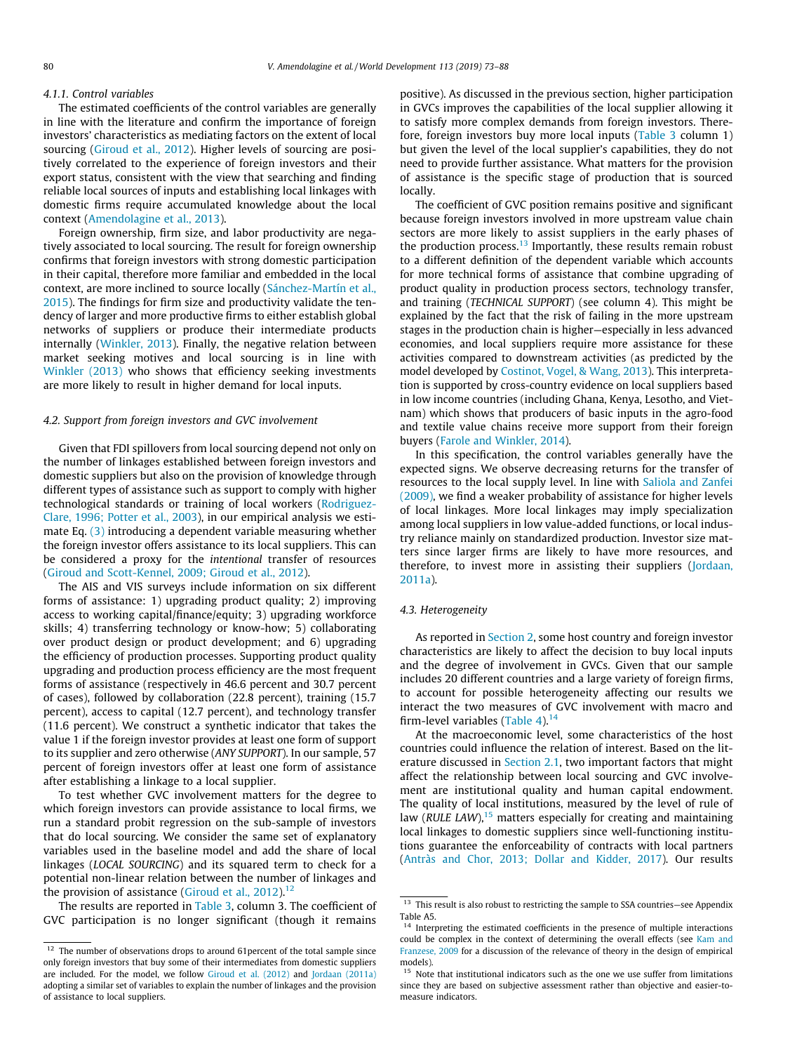The estimated coefficients of the control variables are generally in line with the literature and confirm the importance of foreign investors' characteristics as mediating factors on the extent of local sourcing [\(Giroud et al., 2012](#page-14-0)). Higher levels of sourcing are positively correlated to the experience of foreign investors and their export status, consistent with the view that searching and finding reliable local sources of inputs and establishing local linkages with domestic firms require accumulated knowledge about the local context ([Amendolagine et al., 2013\)](#page-14-0).

Foreign ownership, firm size, and labor productivity are negatively associated to local sourcing. The result for foreign ownership confirms that foreign investors with strong domestic participation in their capital, therefore more familiar and embedded in the local context, are more inclined to source locally [\(Sánchez-Martín et al.,](#page-15-0) [2015\)](#page-15-0). The findings for firm size and productivity validate the tendency of larger and more productive firms to either establish global networks of suppliers or produce their intermediate products internally ([Winkler, 2013\)](#page-15-0). Finally, the negative relation between market seeking motives and local sourcing is in line with [Winkler \(2013\)](#page-15-0) who shows that efficiency seeking investments are more likely to result in higher demand for local inputs.

### 4.2. Support from foreign investors and GVC involvement

Given that FDI spillovers from local sourcing depend not only on the number of linkages established between foreign investors and domestic suppliers but also on the provision of knowledge through different types of assistance such as support to comply with higher technological standards or training of local workers [\(Rodriguez-](#page-15-0)[Clare, 1996; Potter et al., 2003\)](#page-15-0), in our empirical analysis we estimate Eq. [\(3\)](#page-5-0) introducing a dependent variable measuring whether the foreign investor offers assistance to its local suppliers. This can be considered a proxy for the intentional transfer of resources ([Giroud and Scott-Kennel, 2009; Giroud et al., 2012](#page-14-0)).

The AIS and VIS surveys include information on six different forms of assistance: 1) upgrading product quality; 2) improving access to working capital/finance/equity; 3) upgrading workforce skills; 4) transferring technology or know-how; 5) collaborating over product design or product development; and 6) upgrading the efficiency of production processes. Supporting product quality upgrading and production process efficiency are the most frequent forms of assistance (respectively in 46.6 percent and 30.7 percent of cases), followed by collaboration (22.8 percent), training (15.7 percent), access to capital (12.7 percent), and technology transfer (11.6 percent). We construct a synthetic indicator that takes the value 1 if the foreign investor provides at least one form of support to its supplier and zero otherwise (ANY SUPPORT). In our sample, 57 percent of foreign investors offer at least one form of assistance after establishing a linkage to a local supplier.

To test whether GVC involvement matters for the degree to which foreign investors can provide assistance to local firms, we run a standard probit regression on the sub-sample of investors that do local sourcing. We consider the same set of explanatory variables used in the baseline model and add the share of local linkages (LOCAL SOURCING) and its squared term to check for a potential non-linear relation between the number of linkages and the provision of assistance [\(Giroud et al., 2012](#page-14-0)).<sup>12</sup>

The results are reported in [Table 3,](#page-6-0) column 3. The coefficient of GVC participation is no longer significant (though it remains positive). As discussed in the previous section, higher participation in GVCs improves the capabilities of the local supplier allowing it to satisfy more complex demands from foreign investors. Therefore, foreign investors buy more local inputs [\(Table 3](#page-6-0) column 1) but given the level of the local supplier's capabilities, they do not need to provide further assistance. What matters for the provision of assistance is the specific stage of production that is sourced locally.

The coefficient of GVC position remains positive and significant because foreign investors involved in more upstream value chain sectors are more likely to assist suppliers in the early phases of the production process.<sup>13</sup> Importantly, these results remain robust to a different definition of the dependent variable which accounts for more technical forms of assistance that combine upgrading of product quality in production process sectors, technology transfer, and training (TECHNICAL SUPPORT) (see column 4). This might be explained by the fact that the risk of failing in the more upstream stages in the production chain is higher—especially in less advanced economies, and local suppliers require more assistance for these activities compared to downstream activities (as predicted by the model developed by [Costinot, Vogel, & Wang, 2013](#page-14-0)). This interpretation is supported by cross-country evidence on local suppliers based in low income countries (including Ghana, Kenya, Lesotho, and Vietnam) which shows that producers of basic inputs in the agro-food and textile value chains receive more support from their foreign buyers [\(Farole and Winkler, 2014](#page-14-0)).

In this specification, the control variables generally have the expected signs. We observe decreasing returns for the transfer of resources to the local supply level. In line with [Saliola and Zanfei](#page-15-0) [\(2009\),](#page-15-0) we find a weaker probability of assistance for higher levels of local linkages. More local linkages may imply specialization among local suppliers in low value-added functions, or local industry reliance mainly on standardized production. Investor size matters since larger firms are likely to have more resources, and therefore, to invest more in assisting their suppliers [\(Jordaan,](#page-14-0) [2011a\)](#page-14-0).

### 4.3. Heterogeneity

As reported in [Section 2](#page-1-0), some host country and foreign investor characteristics are likely to affect the decision to buy local inputs and the degree of involvement in GVCs. Given that our sample includes 20 different countries and a large variety of foreign firms, to account for possible heterogeneity affecting our results we interact the two measures of GVC involvement with macro and firm-level variables (Table  $4$ ).<sup>14</sup>

At the macroeconomic level, some characteristics of the host countries could influence the relation of interest. Based on the literature discussed in [Section 2.1,](#page-1-0) two important factors that might affect the relationship between local sourcing and GVC involvement are institutional quality and human capital endowment. The quality of local institutions, measured by the level of rule of law (RULE LAW), $15$  matters especially for creating and maintaining local linkages to domestic suppliers since well-functioning institutions guarantee the enforceability of contracts with local partners ([Antràs and Chor, 2013; Dollar and Kidder, 2017](#page-14-0)). Our results

 $12$  The number of observations drops to around 61 percent of the total sample since only foreign investors that buy some of their intermediates from domestic suppliers are included. For the model, we follow [Giroud et al. \(2012\)](#page-14-0) and [Jordaan \(2011a\)](#page-14-0) adopting a similar set of variables to explain the number of linkages and the provision of assistance to local suppliers.

 $^{13}\,$  This result is also robust to restricting the sample to SSA countries-see Appendix Table A5.

<sup>&</sup>lt;sup>14</sup> Interpreting the estimated coefficients in the presence of multiple interactions could be complex in the context of determining the overall effects (see [Kam and](#page-14-0) [Franzese, 2009](#page-14-0) for a discussion of the relevance of theory in the design of empirical models).

 $15\,$  Note that institutional indicators such as the one we use suffer from limitations since they are based on subjective assessment rather than objective and easier-tomeasure indicators.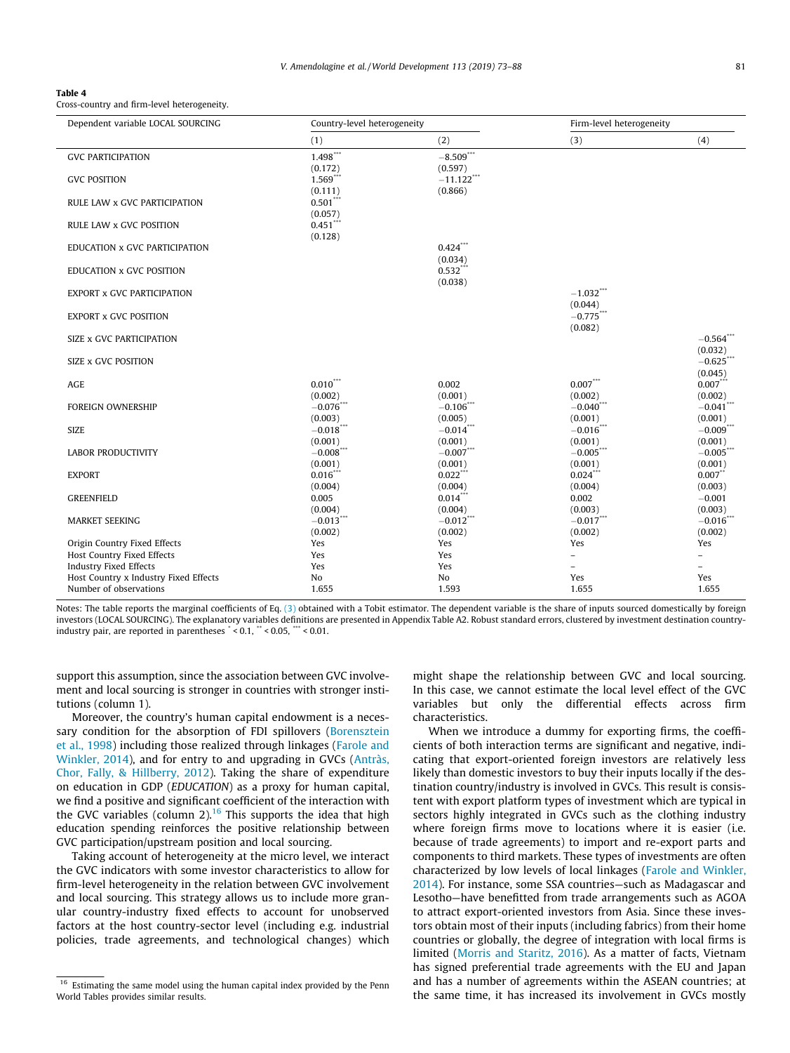#### <span id="page-8-0"></span>Table 4

Cross-country and firm-level heterogeneity.

| Dependent variable LOCAL SOURCING     | Country-level heterogeneity |                | Firm-level heterogeneity |                          |
|---------------------------------------|-----------------------------|----------------|--------------------------|--------------------------|
|                                       | (1)                         | (2)            | (3)                      | (4)                      |
| <b>GVC PARTICIPATION</b>              | $1.498***$                  | $-8.509***$    |                          |                          |
|                                       | (0.172)                     | (0.597)        |                          |                          |
| <b>GVC POSITION</b>                   | $1.569$ <sup>***</sup>      | $-11.122$ ***  |                          |                          |
|                                       | (0.111)                     | (0.866)        |                          |                          |
| RULE LAW x GVC PARTICIPATION          | $0.501$ <sup>**</sup>       |                |                          |                          |
|                                       | (0.057)                     |                |                          |                          |
| RULE LAW x GVC POSITION               | $0.451$ ***                 |                |                          |                          |
|                                       | (0.128)                     |                |                          |                          |
| EDUCATION x GVC PARTICIPATION         |                             | $0.424$ ***    |                          |                          |
|                                       |                             | (0.034)        |                          |                          |
| EDUCATION x GVC POSITION              |                             | $0.532$ ***    |                          |                          |
|                                       |                             | (0.038)        |                          |                          |
| <b>EXPORT x GVC PARTICIPATION</b>     |                             |                | $-1.032$ ***             |                          |
|                                       |                             |                | (0.044)                  |                          |
| <b>EXPORT x GVC POSITION</b>          |                             |                | $-0.775***$              |                          |
|                                       |                             |                | (0.082)                  |                          |
| SIZE x GVC PARTICIPATION              |                             |                |                          | $-0.564$ ***             |
|                                       |                             |                |                          | (0.032)                  |
| SIZE x GVC POSITION                   |                             |                |                          | $-0.625$ <sup>*</sup>    |
|                                       |                             |                |                          | (0.045)                  |
| <b>AGE</b>                            | $0.010$ ***                 | 0.002          | $0.007***$               | $0.007$ ***              |
|                                       | (0.002)                     | (0.001)        | (0.002)                  | (0.002)                  |
| <b>FOREIGN OWNERSHIP</b>              | $-0.076$ **                 | $-0.106$ ***   | $-0.040$ <sup>***</sup>  | $-0.041$ ***             |
|                                       | (0.003)                     | (0.005)        | (0.001)                  | (0.001)                  |
| <b>SIZE</b>                           | $-0.018$ ***                | $-0.014$ ***   | $-0.016$ ***             | $-0.009$ ***             |
|                                       | (0.001)                     | (0.001)        | (0.001)                  | (0.001)                  |
| <b>LABOR PRODUCTIVITY</b>             | $-0.008$ ***                | $-0.007$ ***   | $-0.005$ ***             | $-0.005$ ***             |
|                                       | (0.001)                     | (0.001)        | (0.001)                  | (0.001)                  |
| <b>EXPORT</b>                         | $0.016$ ***                 | $0.022$ ***    | $0.024$ <sup>***</sup>   | $0.007$ <sup>**</sup>    |
|                                       | (0.004)                     | (0.004)        | (0.004)                  | (0.003)                  |
| <b>GREENFIELD</b>                     | 0.005                       | $0.014$ ***    | 0.002                    | $-0.001$                 |
|                                       | (0.004)                     | (0.004)        | (0.003)                  | (0.003)                  |
| <b>MARKET SEEKING</b>                 | $-0.013$ ***                | $-0.012$ ***   | $-0.017$ ***             | $-0.016$ ***             |
|                                       | (0.002)                     | (0.002)        | (0.002)                  | (0.002)                  |
| Origin Country Fixed Effects          | Yes                         | Yes            | Yes                      | Yes                      |
| Host Country Fixed Effects            | Yes                         | Yes            | $\overline{a}$           | $\overline{\phantom{0}}$ |
| <b>Industry Fixed Effects</b>         | Yes                         | Yes            | $\overline{\phantom{0}}$ | ÷,                       |
| Host Country x Industry Fixed Effects | N <sub>o</sub>              | N <sub>o</sub> | Yes                      | Yes                      |
| Number of observations                | 1.655                       | 1.593          | 1.655                    | 1.655                    |

Notes: The table reports the marginal coefficients of Eq. [\(3\)](#page-5-0) obtained with a Tobit estimator. The dependent variable is the share of inputs sourced domestically by foreign investors (LOCAL SOURCING). The explanatory variables definitions are presented in Appendix Table A2. Robust standard errors, clustered by investment destination countryindustry pair, are reported in parentheses  $*$  < 0.1,  $*$  < 0.05, \*\*\* < 0.01.

support this assumption, since the association between GVC involvement and local sourcing is stronger in countries with stronger institutions (column 1).

Moreover, the country's human capital endowment is a neces-sary condition for the absorption of FDI spillovers [\(Borensztein](#page-14-0) [et al., 1998\)](#page-14-0) including those realized through linkages ([Farole and](#page-14-0) [Winkler, 2014](#page-14-0)), and for entry to and upgrading in GVCs [\(Antràs,](#page-14-0) [Chor, Fally, & Hillberry, 2012](#page-14-0)). Taking the share of expenditure on education in GDP (EDUCATION) as a proxy for human capital, we find a positive and significant coefficient of the interaction with the GVC variables (column 2).<sup>16</sup> This supports the idea that high education spending reinforces the positive relationship between GVC participation/upstream position and local sourcing.

Taking account of heterogeneity at the micro level, we interact the GVC indicators with some investor characteristics to allow for firm-level heterogeneity in the relation between GVC involvement and local sourcing. This strategy allows us to include more granular country-industry fixed effects to account for unobserved factors at the host country-sector level (including e.g. industrial policies, trade agreements, and technological changes) which might shape the relationship between GVC and local sourcing. In this case, we cannot estimate the local level effect of the GVC variables but only the differential effects across firm characteristics.

When we introduce a dummy for exporting firms, the coefficients of both interaction terms are significant and negative, indicating that export-oriented foreign investors are relatively less likely than domestic investors to buy their inputs locally if the destination country/industry is involved in GVCs. This result is consistent with export platform types of investment which are typical in sectors highly integrated in GVCs such as the clothing industry where foreign firms move to locations where it is easier (i.e. because of trade agreements) to import and re-export parts and components to third markets. These types of investments are often characterized by low levels of local linkages [\(Farole and Winkler,](#page-14-0) [2014](#page-14-0)). For instance, some SSA countries—such as Madagascar and Lesotho—have benefitted from trade arrangements such as AGOA to attract export-oriented investors from Asia. Since these investors obtain most of their inputs (including fabrics) from their home countries or globally, the degree of integration with local firms is limited [\(Morris and Staritz, 2016\)](#page-14-0). As a matter of facts, Vietnam has signed preferential trade agreements with the EU and Japan and has a number of agreements within the ASEAN countries; at the same time, it has increased its involvement in GVCs mostly

 $^{16}\,$  Estimating the same model using the human capital index provided by the Penn World Tables provides similar results.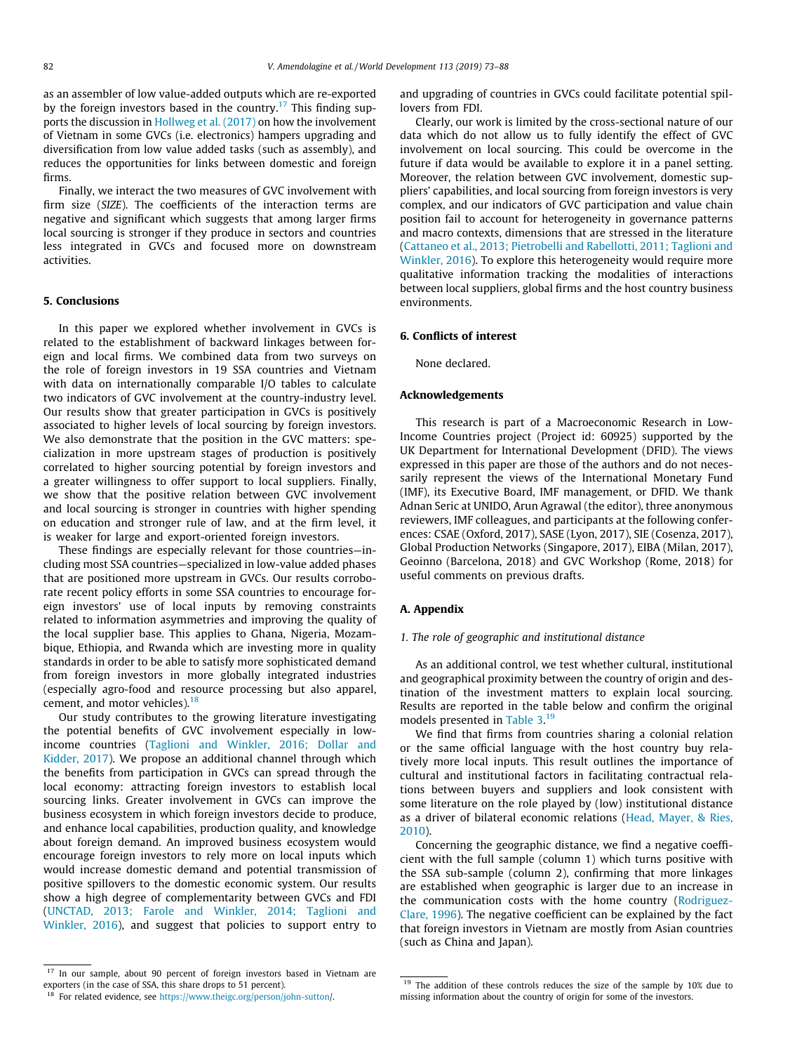<span id="page-9-0"></span>as an assembler of low value-added outputs which are re-exported by the foreign investors based in the country.<sup>17</sup> This finding supports the discussion in [Hollweg et al. \(2017\)](#page-14-0) on how the involvement of Vietnam in some GVCs (i.e. electronics) hampers upgrading and diversification from low value added tasks (such as assembly), and reduces the opportunities for links between domestic and foreign firms.

Finally, we interact the two measures of GVC involvement with firm size (SIZE). The coefficients of the interaction terms are negative and significant which suggests that among larger firms local sourcing is stronger if they produce in sectors and countries less integrated in GVCs and focused more on downstream activities.

### 5. Conclusions

In this paper we explored whether involvement in GVCs is related to the establishment of backward linkages between foreign and local firms. We combined data from two surveys on the role of foreign investors in 19 SSA countries and Vietnam with data on internationally comparable I/O tables to calculate two indicators of GVC involvement at the country-industry level. Our results show that greater participation in GVCs is positively associated to higher levels of local sourcing by foreign investors. We also demonstrate that the position in the GVC matters: specialization in more upstream stages of production is positively correlated to higher sourcing potential by foreign investors and a greater willingness to offer support to local suppliers. Finally, we show that the positive relation between GVC involvement and local sourcing is stronger in countries with higher spending on education and stronger rule of law, and at the firm level, it is weaker for large and export-oriented foreign investors.

These findings are especially relevant for those countries—including most SSA countries—specialized in low-value added phases that are positioned more upstream in GVCs. Our results corroborate recent policy efforts in some SSA countries to encourage foreign investors' use of local inputs by removing constraints related to information asymmetries and improving the quality of the local supplier base. This applies to Ghana, Nigeria, Mozambique, Ethiopia, and Rwanda which are investing more in quality standards in order to be able to satisfy more sophisticated demand from foreign investors in more globally integrated industries (especially agro-food and resource processing but also apparel, cement, and motor vehicles).<sup>18</sup>

Our study contributes to the growing literature investigating the potential benefits of GVC involvement especially in lowincome countries ([Taglioni and Winkler, 2016; Dollar and](#page-15-0) [Kidder, 2017\)](#page-15-0). We propose an additional channel through which the benefits from participation in GVCs can spread through the local economy: attracting foreign investors to establish local sourcing links. Greater involvement in GVCs can improve the business ecosystem in which foreign investors decide to produce, and enhance local capabilities, production quality, and knowledge about foreign demand. An improved business ecosystem would encourage foreign investors to rely more on local inputs which would increase domestic demand and potential transmission of positive spillovers to the domestic economic system. Our results show a high degree of complementarity between GVCs and FDI ([UNCTAD, 2013; Farole and Winkler, 2014; Taglioni and](#page-15-0) [Winkler, 2016\)](#page-15-0), and suggest that policies to support entry to and upgrading of countries in GVCs could facilitate potential spillovers from FDI.

Clearly, our work is limited by the cross-sectional nature of our data which do not allow us to fully identify the effect of GVC involvement on local sourcing. This could be overcome in the future if data would be available to explore it in a panel setting. Moreover, the relation between GVC involvement, domestic suppliers' capabilities, and local sourcing from foreign investors is very complex, and our indicators of GVC participation and value chain position fail to account for heterogeneity in governance patterns and macro contexts, dimensions that are stressed in the literature ([Cattaneo et al., 2013; Pietrobelli and Rabellotti, 2011; Taglioni and](#page-14-0) [Winkler, 2016\)](#page-14-0). To explore this heterogeneity would require more qualitative information tracking the modalities of interactions between local suppliers, global firms and the host country business environments.

### 6. Conflicts of interest

None declared.

### Acknowledgements

This research is part of a Macroeconomic Research in Low-Income Countries project (Project id: 60925) supported by the UK Department for International Development (DFID). The views expressed in this paper are those of the authors and do not necessarily represent the views of the International Monetary Fund (IMF), its Executive Board, IMF management, or DFID. We thank Adnan Seric at UNIDO, Arun Agrawal (the editor), three anonymous reviewers, IMF colleagues, and participants at the following conferences: CSAE (Oxford, 2017), SASE (Lyon, 2017), SIE (Cosenza, 2017), Global Production Networks (Singapore, 2017), EIBA (Milan, 2017), Geoinno (Barcelona, 2018) and GVC Workshop (Rome, 2018) for useful comments on previous drafts.

### A. Appendix

#### 1. The role of geographic and institutional distance

As an additional control, we test whether cultural, institutional and geographical proximity between the country of origin and destination of the investment matters to explain local sourcing. Results are reported in the table below and confirm the original models presented in [Table 3.](#page-6-0) 19

We find that firms from countries sharing a colonial relation or the same official language with the host country buy relatively more local inputs. This result outlines the importance of cultural and institutional factors in facilitating contractual relations between buyers and suppliers and look consistent with some literature on the role played by (low) institutional distance as a driver of bilateral economic relations [\(Head, Mayer, & Ries,](#page-14-0) [2010\)](#page-14-0).

Concerning the geographic distance, we find a negative coefficient with the full sample (column 1) which turns positive with the SSA sub-sample (column 2), confirming that more linkages are established when geographic is larger due to an increase in the communication costs with the home country [\(Rodriguez-](#page-15-0)[Clare, 1996\)](#page-15-0). The negative coefficient can be explained by the fact that foreign investors in Vietnam are mostly from Asian countries (such as China and Japan).

<sup>&</sup>lt;sup>17</sup> In our sample, about 90 percent of foreign investors based in Vietnam are exporters (in the case of SSA, this share drops to 51 percent).

<sup>&</sup>lt;sup>18</sup> For related evidence, see [https://www.theigc.org/person/john-sutton/](https://www.theigc.org/person/john-sutton).

<sup>&</sup>lt;sup>19</sup> The addition of these controls reduces the size of the sample by 10% due to missing information about the country of origin for some of the investors.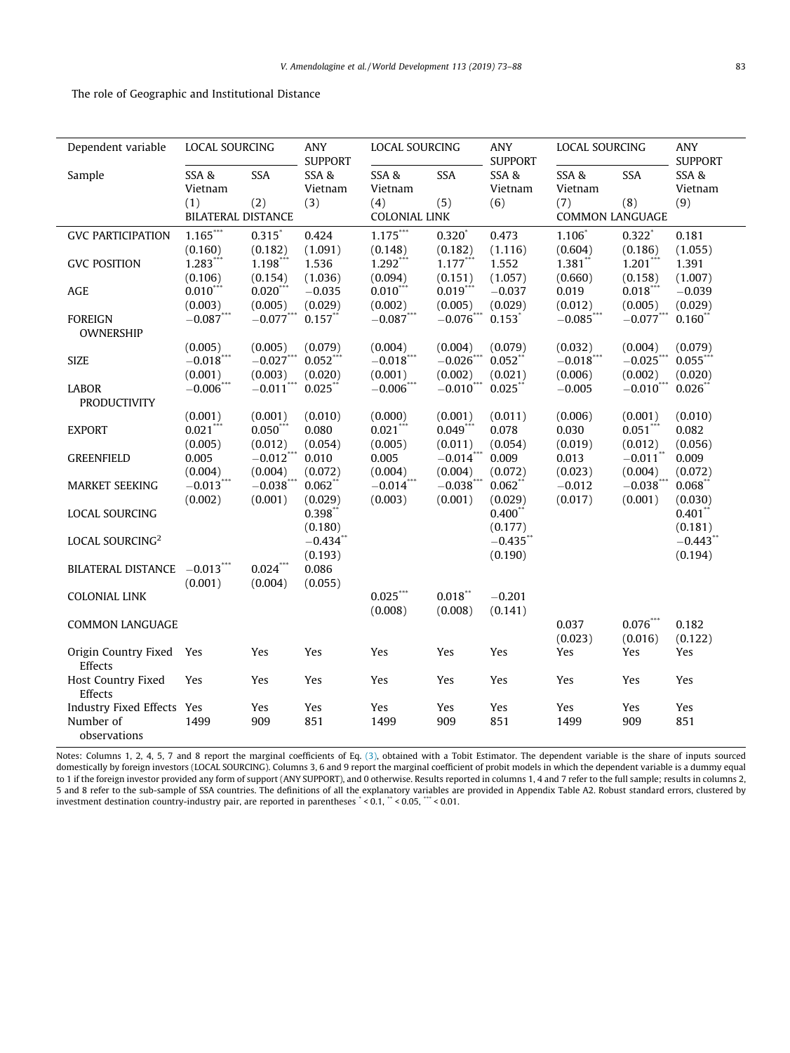The role of Geographic and Institutional Distance

 $\overline{a}$ 

| Dependent variable                                      | LOCAL SOURCING                                               |                                                               | ANY<br><b>SUPPORT</b>                            | LOCAL SOURCING                                               |                                                               | ANY<br><b>SUPPORT</b>                            | LOCAL SOURCING                                        |                                                                        | ANY<br><b>SUPPORT</b>                            |
|---------------------------------------------------------|--------------------------------------------------------------|---------------------------------------------------------------|--------------------------------------------------|--------------------------------------------------------------|---------------------------------------------------------------|--------------------------------------------------|-------------------------------------------------------|------------------------------------------------------------------------|--------------------------------------------------|
| Sample                                                  | SSA&<br>Vietnam                                              | <b>SSA</b>                                                    | SSA&<br>Vietnam                                  | SSA&<br>Vietnam                                              | SSA                                                           | SSA&<br>Vietnam                                  | SSA&<br>Vietnam                                       | <b>SSA</b>                                                             | SSA&<br>Vietnam                                  |
|                                                         | (1)<br><b>BILATERAL DISTANCE</b>                             | (2)                                                           | (3)                                              | (4)<br><b>COLONIAL LINK</b>                                  | (5)                                                           | (6)                                              | (7)<br><b>COMMON LANGUAGE</b>                         | (8)                                                                    | (9)                                              |
| <b>GVC PARTICIPATION</b><br><b>GVC POSITION</b><br>AGE  | $1.165***$<br>(0.160)<br>$1.283***$<br>(0.106)<br>$0.010***$ | $0.315^{*}$<br>(0.182)<br>$1.198***$<br>(0.154)<br>$0.020***$ | 0.424<br>(1.091)<br>1.536<br>(1.036)<br>$-0.035$ | $1.175***$<br>(0.148)<br>$1.292***$<br>(0.094)<br>$0.010***$ | $0.320^{*}$<br>(0.182)<br>$1.177***$<br>(0.151)<br>$0.019***$ | 0.473<br>(1.116)<br>1.552<br>(1.057)<br>$-0.037$ | $1.106*$<br>(0.604)<br>$1.381$ **<br>(0.660)<br>0.019 | $0.322$ <sup>*</sup><br>(0.186)<br>$1.201***$<br>(0.158)<br>$0.018***$ | 0.181<br>(1.055)<br>1.391<br>(1.007)<br>$-0.039$ |
| <b>FOREIGN</b><br>OWNERSHIP                             | (0.003)<br>$-0.087$ ***                                      | (0.005)<br>$-0.077$ <sup>*</sup>                              | (0.029)<br>$0.157$ **                            | (0.002)<br>$-0.087$ ***                                      | (0.005)<br>$-0.076$ <sup>*</sup>                              | (0.029)<br>$0.153$ <sup>*</sup>                  | (0.012)<br>$-0.085$ ***                               | (0.005)<br>$-0.077$ **                                                 | (0.029)<br>$0.160^{*}$                           |
| <b>SIZE</b><br><b>LABOR</b>                             | (0.005)<br>$-0.018$ ***<br>(0.001)<br>$-0.006***$            | (0.005)<br>$-0.027***$<br>(0.003)<br>$-0.011***$              | (0.079)<br>$0.052$ **<br>(0.020)<br>0.025        | (0.004)<br>$-0.018$ **<br>(0.001)<br>$-0.006$ ***            | (0.004)<br>$-0.026$ **<br>(0.002)<br>$-0.010$                 | (0.079)<br>0.052<br>(0.021)<br>0.025             | (0.032)<br>$-0.018$ ***<br>(0.006)<br>$-0.005$        | (0.004)<br>$-0.025$ **<br>(0.002)<br>$-0.010$ **                       | (0.079)<br>$0.055$ **<br>(0.020)<br>0.026        |
| PRODUCTIVITY<br><b>EXPORT</b>                           | (0.001)<br>$0.021***$<br>(0.005)                             | (0.001)<br>$0.050***$<br>(0.012)                              | (0.010)<br>0.080<br>(0.054)                      | (0.000)<br>$0.021***$<br>(0.005)                             | (0.001)<br>$0.049***$<br>(0.011)                              | (0.011)<br>0.078<br>(0.054)                      | (0.006)<br>0.030<br>(0.019)                           | (0.001)<br>$0.051***$<br>(0.012)                                       | (0.010)<br>0.082<br>(0.056)                      |
| <b>GREENFIELD</b><br><b>MARKET SEEKING</b>              | 0.005<br>(0.004)<br>$-0.013$ ***<br>(0.002)                  | $-0.012$ **<br>(0.004)<br>$-0.038$ <sup>*</sup><br>(0.001)    | 0.010<br>(0.072)<br>0.062<br>(0.029)             | 0.005<br>(0.004)<br>$-0.014$ **<br>(0.003)                   | $-0.014$ **<br>(0.004)<br>$-0.038$ <sup>*</sup><br>(0.001)    | 0.009<br>(0.072)<br>0.062<br>(0.029)             | 0.013<br>(0.023)<br>$-0.012$<br>(0.017)               | $-0.011$<br>(0.004)<br>$-0.038$ <sup>*</sup><br>(0.001)                | 0.009<br>(0.072)<br>$0.068$ **<br>(0.030)        |
| LOCAL SOURCING<br>LOCAL SOURCING <sup>2</sup>           |                                                              |                                                               | 0.398<br>(0.180)<br>$-0.434$ **<br>(0.193)       |                                                              |                                                               | $0.400^*$<br>(0.177)<br>$-0.435$ **<br>(0.190)   |                                                       |                                                                        | $0.401$ **<br>(0.181)<br>$-0.443$ **<br>(0.194)  |
| <b>BILATERAL DISTANCE</b>                               | $-0.013***$<br>(0.001)                                       | $0.024***$<br>(0.004)                                         | 0.086<br>(0.055)                                 |                                                              |                                                               |                                                  |                                                       |                                                                        |                                                  |
| <b>COLONIAL LINK</b>                                    |                                                              |                                                               |                                                  | $0.025$ ***<br>(0.008)                                       | $0.018$ **<br>(0.008)                                         | $-0.201$<br>(0.141)                              |                                                       |                                                                        |                                                  |
| <b>COMMON LANGUAGE</b><br>Origin Country Fixed          | Yes                                                          | Yes                                                           | Yes                                              | Yes                                                          | Yes                                                           | Yes                                              | 0.037<br>(0.023)<br>Yes                               | $0.076***$<br>(0.016)<br>Yes                                           | 0.182<br>(0.122)<br>Yes                          |
| Effects<br>Host Country Fixed                           | Yes                                                          | Yes                                                           | Yes                                              | Yes                                                          | Yes                                                           | Yes                                              | Yes                                                   | Yes                                                                    | Yes                                              |
| Effects                                                 |                                                              |                                                               |                                                  |                                                              |                                                               |                                                  |                                                       |                                                                        |                                                  |
| Industry Fixed Effects Yes<br>Number of<br>observations | 1499                                                         | Yes<br>909                                                    | Yes<br>851                                       | Yes<br>1499                                                  | Yes<br>909                                                    | Yes<br>851                                       | Yes<br>1499                                           | Yes<br>909                                                             | Yes<br>851                                       |

Notes: Columns 1, 2, 4, 5, 7 and 8 report the marginal coefficients of Eq. [\(3\)](#page-5-0), obtained with a Tobit Estimator. The dependent variable is the share of inputs sourced domestically by foreign investors (LOCAL SOURCING). Columns 3, 6 and 9 report the marginal coefficient of probit models in which the dependent variable is a dummy equal to 1 if the foreign investor provided any form of support (ANY SUPPORT), and 0 otherwise. Results reported in columns 1, 4 and 7 refer to the full sample; results in columns 2, 5 and 8 refer to the sub-sample of SSA countries. The definitions of all the explanatory variables are provided in Appendix Table A2. Robust standard errors, clustered by investment destination country-industry pair, are reported in parentheses  $* 0.1, * 0.05, ** 0.01$ .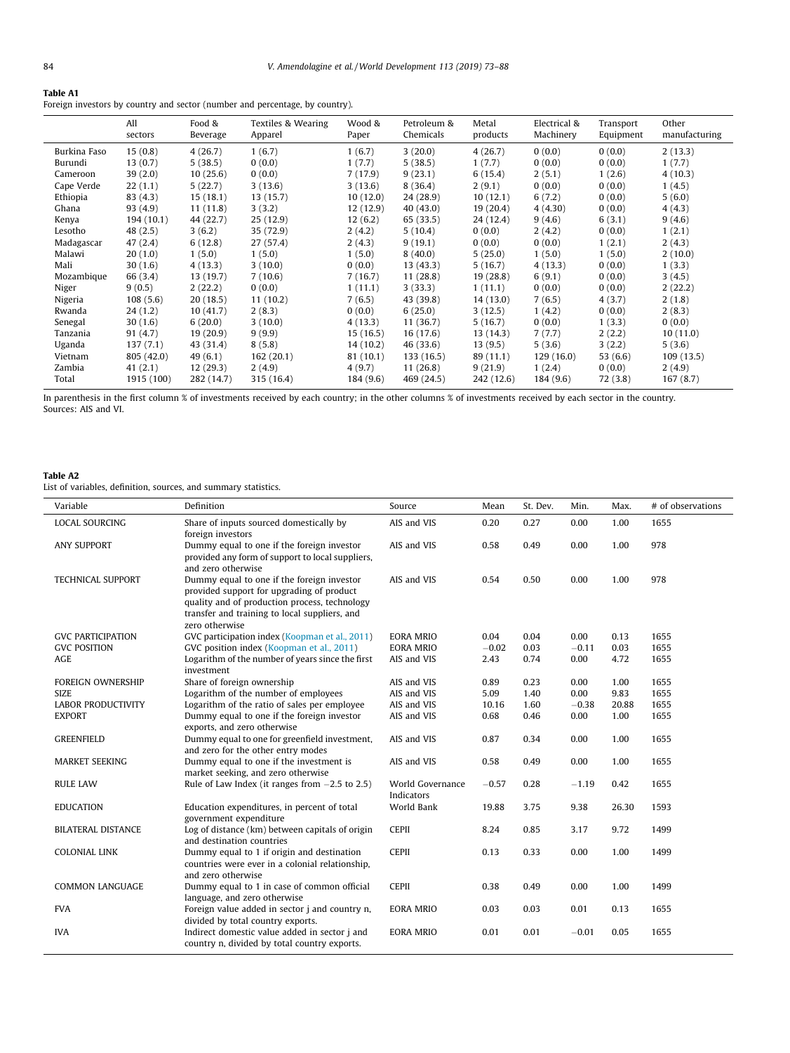| ۱<br>ı<br>н |
|-------------|
|             |
| ۰.          |

Foreign investors by country and sector (number and percentage, by country).

|              | All<br>sectors | Food &<br>Beverage | Textiles & Wearing<br>Apparel | Wood &<br>Paper | Petroleum &<br>Chemicals | Metal<br>products | Electrical &<br>Machinery | Transport<br>Equipment | Other<br>manufacturing |
|--------------|----------------|--------------------|-------------------------------|-----------------|--------------------------|-------------------|---------------------------|------------------------|------------------------|
| Burkina Faso | 15(0.8)        | 4(26.7)            | 1(6.7)                        | 1(6.7)          | 3(20.0)                  | 4(26.7)           | 0(0.0)                    | 0(0.0)                 | 2(13.3)                |
| Burundi      | 13(0.7)        | 5(38.5)            | 0(0.0)                        | 1(7.7)          | 5(38.5)                  | 1(7.7)            | 0(0.0)                    | 0(0.0)                 | 1(7.7)                 |
| Cameroon     | 39(2.0)        | 10(25.6)           | 0(0.0)                        | 7(17.9)         | 9(23.1)                  | 6(15.4)           | 2(5.1)                    | 1(2.6)                 | 4(10.3)                |
| Cape Verde   | 22(1.1)        | 5(22.7)            | 3(13.6)                       | 3(13.6)         | 8(36.4)                  | 2(9.1)            | 0(0.0)                    | 0(0.0)                 | 1(4.5)                 |
| Ethiopia     | 83 (4.3)       | 15(18.1)           | 13 (15.7)                     | 10(12.0)        | 24(28.9)                 | 10(12.1)          | 6(7.2)                    | 0(0.0)                 | 5(6.0)                 |
| Ghana        | 93(4.9)        | 11(11.8)           | 3(3.2)                        | 12(12.9)        | 40(43.0)                 | 19(20.4)          | 4(4.30)                   | 0(0.0)                 | 4(4.3)                 |
| Kenya        | 194 (10.1)     | 44 (22.7)          | 25(12.9)                      | 12(6.2)         | 65 (33.5)                | 24 (12.4)         | 9(4.6)                    | 6(3.1)                 | 9(4.6)                 |
| Lesotho      | 48(2.5)        | 3(6.2)             | 35 (72.9)                     | 2(4.2)          | 5(10.4)                  | 0(0.0)            | 2(4.2)                    | 0(0.0)                 | 1(2.1)                 |
| Madagascar   | 47(2.4)        | 6(12.8)            | 27 (57.4)                     | 2(4.3)          | 9(19.1)                  | 0(0.0)            | 0(0.0)                    | 1(2.1)                 | 2(4.3)                 |
| Malawi       | 20(1.0)        | 1(5.0)             | 1(5.0)                        | 1(5.0)          | 8(40.0)                  | 5(25.0)           | 1(5.0)                    | 1(5.0)                 | 2(10.0)                |
| Mali         | 30(1.6)        | 4(13.3)            | 3(10.0)                       | 0(0.0)          | 13(43.3)                 | 5(16.7)           | 4(13.3)                   | 0(0.0)                 | 1(3.3)                 |
| Mozambique   | 66 (3.4)       | 13 (19.7)          | 7(10.6)                       | 7(16.7)         | 11(28.8)                 | 19(28.8)          | 6(9.1)                    | 0(0.0)                 | 3(4.5)                 |
| Niger        | 9(0.5)         | 2(22.2)            | 0(0.0)                        | 1(11.1)         | 3(33.3)                  | 1(11.1)           | 0(0.0)                    | 0(0.0)                 | 2(22.2)                |
| Nigeria      | 108(5.6)       | 20(18.5)           | 11(10.2)                      | 7(6.5)          | 43 (39.8)                | 14 (13.0)         | 7(6.5)                    | 4(3.7)                 | 2(1.8)                 |
| Rwanda       | 24(1.2)        | 10(41.7)           | 2(8.3)                        | 0(0.0)          | 6(25.0)                  | 3(12.5)           | 1(4.2)                    | 0(0.0)                 | 2(8.3)                 |
| Senegal      | 30(1.6)        | 6(20.0)            | 3(10.0)                       | 4(13.3)         | 11 (36.7)                | 5(16.7)           | 0(0.0)                    | 1(3.3)                 | 0(0.0)                 |
| Tanzania     | 91 (4.7)       | 19(20.9)           | 9(9.9)                        | 15(16.5)        | 16(17.6)                 | 13(14.3)          | 7(7.7)                    | 2(2.2)                 | 10(11.0)               |
| Uganda       | 137(7.1)       | 43 (31.4)          | 8(5.8)                        | 14(10.2)        | 46 (33.6)                | 13(9.5)           | 5(3.6)                    | 3(2.2)                 | 5(3.6)                 |
| Vietnam      | 805 (42.0)     | 49(6.1)            | 162(20.1)                     | 81 (10.1)       | 133 (16.5)               | 89 (11.1)         | 129(16.0)                 | 53 $(6.6)$             | 109(13.5)              |
| Zambia       | 41(2.1)        | 12(29.3)           | 2(4.9)                        | 4(9.7)          | 11(26.8)                 | 9(21.9)           | 1(2.4)                    | 0(0.0)                 | 2(4.9)                 |
| Total        | 1915 (100)     | 282 (14.7)         | 315 (16.4)                    | 184 (9.6)       | 469 (24.5)               | 242 (12.6)        | 184 (9.6)                 | 72 (3.8)               | 167(8.7)               |

In parenthesis in the first column % of investments received by each country; in the other columns % of investments received by each sector in the country. Sources: AIS and VI.

### Table A2

List of variables, definition, sources, and summary statistics.

| Variable                  | Definition                                                                                                                                                                                                  | Source                         | Mean    | St. Dev. | Min.    | Max.  | # of observations |
|---------------------------|-------------------------------------------------------------------------------------------------------------------------------------------------------------------------------------------------------------|--------------------------------|---------|----------|---------|-------|-------------------|
| <b>LOCAL SOURCING</b>     | Share of inputs sourced domestically by<br>foreign investors                                                                                                                                                | AIS and VIS                    | 0.20    | 0.27     | 0.00    | 1.00  | 1655              |
| <b>ANY SUPPORT</b>        | Dummy equal to one if the foreign investor<br>provided any form of support to local suppliers,<br>and zero otherwise                                                                                        | AIS and VIS                    | 0.58    | 0.49     | 0.00    | 1.00  | 978               |
| TECHNICAL SUPPORT         | Dummy equal to one if the foreign investor<br>provided support for upgrading of product<br>quality and of production process, technology<br>transfer and training to local suppliers, and<br>zero otherwise | AIS and VIS                    | 0.54    | 0.50     | 0.00    | 1.00  | 978               |
| <b>GVC PARTICIPATION</b>  | GVC participation index (Koopman et al., 2011)                                                                                                                                                              | <b>EORA MRIO</b>               | 0.04    | 0.04     | 0.00    | 0.13  | 1655              |
| <b>GVC POSITION</b>       | GVC position index (Koopman et al., 2011)                                                                                                                                                                   | <b>EORA MRIO</b>               | $-0.02$ | 0.03     | $-0.11$ | 0.03  | 1655              |
| AGE                       | Logarithm of the number of years since the first<br>investment                                                                                                                                              | AIS and VIS                    | 2.43    | 0.74     | 0.00    | 4.72  | 1655              |
| <b>FOREIGN OWNERSHIP</b>  | Share of foreign ownership                                                                                                                                                                                  | AIS and VIS                    | 0.89    | 0.23     | 0.00    | 1.00  | 1655              |
| <b>SIZE</b>               | Logarithm of the number of employees                                                                                                                                                                        | AIS and VIS                    | 5.09    | 1.40     | 0.00    | 9.83  | 1655              |
| <b>LABOR PRODUCTIVITY</b> | Logarithm of the ratio of sales per employee                                                                                                                                                                | AIS and VIS                    | 10.16   | 1.60     | $-0.38$ | 20.88 | 1655              |
| <b>EXPORT</b>             | Dummy equal to one if the foreign investor<br>exports, and zero otherwise                                                                                                                                   | AIS and VIS                    | 0.68    | 0.46     | 0.00    | 1.00  | 1655              |
| <b>GREENFIELD</b>         | Dummy equal to one for greenfield investment,<br>and zero for the other entry modes                                                                                                                         | AIS and VIS                    | 0.87    | 0.34     | 0.00    | 1.00  | 1655              |
| <b>MARKET SEEKING</b>     | Dummy equal to one if the investment is<br>market seeking, and zero otherwise                                                                                                                               | AIS and VIS                    | 0.58    | 0.49     | 0.00    | 1.00  | 1655              |
| <b>RULE LAW</b>           | Rule of Law Index (it ranges from $-2.5$ to 2.5)                                                                                                                                                            | World Governance<br>Indicators | $-0.57$ | 0.28     | $-1.19$ | 0.42  | 1655              |
| <b>EDUCATION</b>          | Education expenditures, in percent of total<br>government expenditure                                                                                                                                       | World Bank                     | 19.88   | 3.75     | 9.38    | 26.30 | 1593              |
| <b>BILATERAL DISTANCE</b> | Log of distance (km) between capitals of origin<br>and destination countries                                                                                                                                | <b>CEPII</b>                   | 8.24    | 0.85     | 3.17    | 9.72  | 1499              |
| <b>COLONIAL LINK</b>      | Dummy equal to 1 if origin and destination<br>countries were ever in a colonial relationship,<br>and zero otherwise                                                                                         | <b>CEPII</b>                   | 0.13    | 0.33     | 0.00    | 1.00  | 1499              |
| <b>COMMON LANGUAGE</b>    | Dummy equal to 1 in case of common official<br>language, and zero otherwise                                                                                                                                 | <b>CEPII</b>                   | 0.38    | 0.49     | 0.00    | 1.00  | 1499              |
| <b>FVA</b>                | Foreign value added in sector j and country n,<br>divided by total country exports.                                                                                                                         | <b>EORA MRIO</b>               | 0.03    | 0.03     | 0.01    | 0.13  | 1655              |
| <b>IVA</b>                | Indirect domestic value added in sector j and<br>country n, divided by total country exports.                                                                                                               | <b>EORA MRIO</b>               | 0.01    | 0.01     | $-0.01$ | 0.05  | 1655              |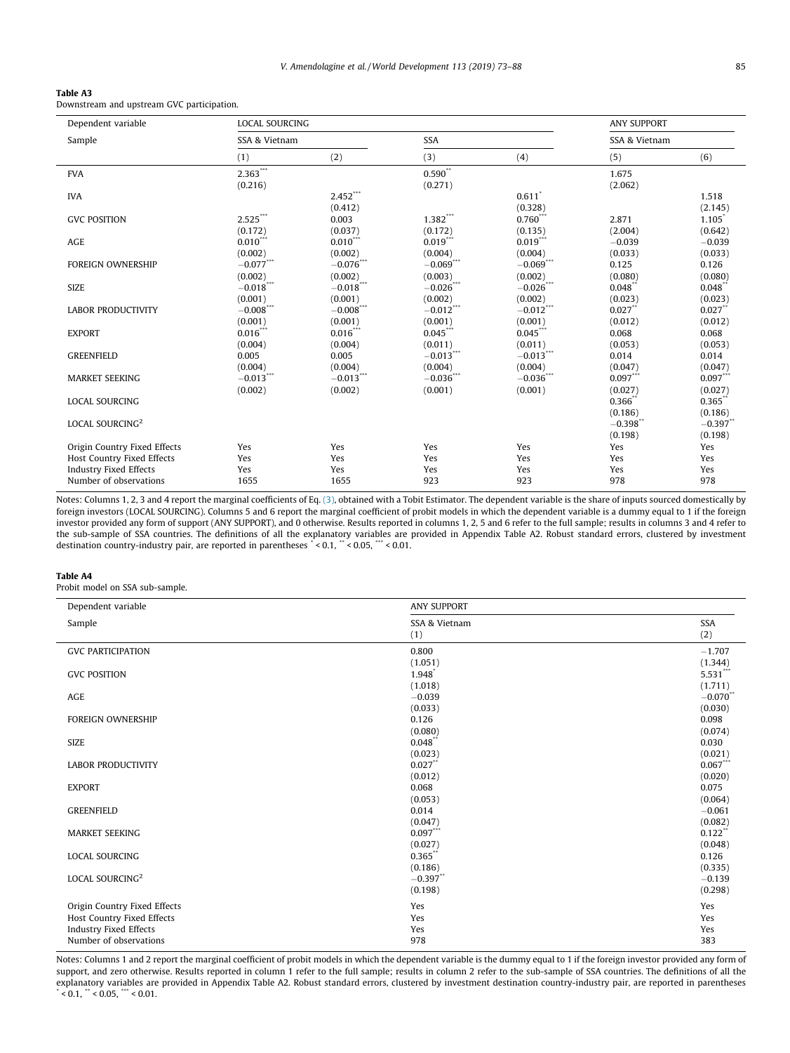## Table A3

Downstream and upstream GVC participation.

| Dependent variable            | <b>LOCAL SOURCING</b>   |                                    |                               |                                 | <b>ANY SUPPORT</b>    |                                   |  |
|-------------------------------|-------------------------|------------------------------------|-------------------------------|---------------------------------|-----------------------|-----------------------------------|--|
| Sample                        | SSA & Vietnam           |                                    | SSA                           |                                 | SSA & Vietnam         |                                   |  |
|                               | (1)                     | (2)                                | (3)                           | (4)                             | (5)                   | (6)                               |  |
| <b>FVA</b>                    | $2.363***$<br>(0.216)   |                                    | $0.590^{\ast\ast}$<br>(0.271) |                                 | 1.675<br>(2.062)      |                                   |  |
| <b>IVA</b>                    |                         | $2.452\overset{***}{ }$<br>(0.412) |                               | $0.611$ <sup>*</sup><br>(0.328) |                       | 1.518<br>(2.145)                  |  |
| <b>GVC POSITION</b>           | $2.525\overset{***}{ }$ | 0.003                              | 1.382***                      | $0.760***$                      | 2.871                 | 1.105                             |  |
|                               | (0.172)                 | (0.037)                            | (0.172)                       | (0.135)                         | (2.004)               | (0.642)                           |  |
| AGE                           | $0.010***$              | $0.010$ ***                        | $0.019$ ***                   | $0.019$ ***                     | $-0.039$              | $-0.039$                          |  |
|                               | (0.002)                 | (0.002)                            | (0.004)                       | (0.004)                         | (0.033)               | (0.033)                           |  |
| <b>FOREIGN OWNERSHIP</b>      | $-0.077***$             | $-0.076$                           | $-0.069$ ***                  | $-0.069$ $\cdots$               | 0.125                 | 0.126                             |  |
|                               | (0.002)                 | (0.002)                            | (0.003)                       | (0.002)                         | (0.080)               | (0.080)                           |  |
| <b>SIZE</b>                   | $-0.018$ ***            | $-0.018$                           | $-0.026$ $\cdot$              | $-0.026$ $\cdot$                | 0.048                 | 0.048                             |  |
|                               | (0.001)                 | (0.001)                            | (0.002)                       | (0.002)                         | (0.023)               | (0.023)                           |  |
| <b>LABOR PRODUCTIVITY</b>     | $-0.008$                | $-0.008$                           | $-0.012$ ***                  | $-0.012$ ***                    | $0.027$ "             | $0.027$ <sup>**</sup>             |  |
|                               | (0.001)                 | (0.001)                            | (0.001)                       | (0.001)                         | (0.012)               | (0.012)                           |  |
| <b>EXPORT</b>                 | 0.016                   | 0.016                              | $0.045***$                    | $0.045$ ***                     | 0.068                 | 0.068                             |  |
|                               | (0.004)                 | (0.004)                            | (0.011)                       | (0.011)                         | (0.053)               | (0.053)                           |  |
| <b>GREENFIELD</b>             | 0.005                   | 0.005                              | $-0.013$ ***                  | $-0.013$ ***                    | 0.014                 | 0.014                             |  |
|                               | (0.004)                 | (0.004)                            | (0.004)                       | (0.004)                         | (0.047)               | (0.047)                           |  |
| <b>MARKET SEEKING</b>         | $-0.013***$             | $-0.013$ ***                       | $-0.036$                      | $-0.036$                        | $0.097***$            | $0.097***$                        |  |
|                               | (0.002)                 | (0.002)                            | (0.001)                       | (0.001)                         | (0.027)               | (0.027)                           |  |
| <b>LOCAL SOURCING</b>         |                         |                                    |                               |                                 | $0.366$ **<br>(0.186) | $0.365$ **<br>(0.186)             |  |
| LOCAL SOURCING <sup>2</sup>   |                         |                                    |                               |                                 | $-0.398$<br>(0.198)   | $-0.397$ <sup>**</sup><br>(0.198) |  |
| Origin Country Fixed Effects  | Yes                     | Yes                                | Yes                           | Yes                             | Yes                   | Yes                               |  |
| Host Country Fixed Effects    | Yes                     | Yes                                | Yes                           | Yes                             | Yes                   | Yes                               |  |
| <b>Industry Fixed Effects</b> | Yes                     | Yes                                | Yes                           | Yes                             | Yes                   | Yes                               |  |
| Number of observations        | 1655                    | 1655                               | 923                           | 923                             | 978                   | 978                               |  |

Notes: Columns 1, 2, 3 and 4 report the marginal coefficients of Eq. [\(3\)](#page-5-0), obtained with a Tobit Estimator. The dependent variable is the share of inputs sourced domestically by foreign investors (LOCAL SOURCING). Columns 5 and 6 report the marginal coefficient of probit models in which the dependent variable is a dummy equal to 1 if the foreign investor provided any form of support (ANY SUPPORT), and 0 otherwise. Results reported in columns 1, 2, 5 and 6 refer to the full sample; results in columns 3 and 4 refer to the sub-sample of SSA countries. The definitions of all the explanatory variables are provided in Appendix Table A2. Robust standard errors, clustered by investment destination country-industry pair, are reported in parentheses  $\sim 0.1$ ,  $\sim 0.05$ ,  $\sim 0.01$ .

### Table A4

Probit model on SSA sub-sample.

| Dependent variable            | <b>ANY SUPPORT</b> |             |  |  |  |
|-------------------------------|--------------------|-------------|--|--|--|
| Sample                        | SSA & Vietnam      | <b>SSA</b>  |  |  |  |
|                               | (1)                | (2)         |  |  |  |
| <b>GVC PARTICIPATION</b>      | 0.800              | $-1.707$    |  |  |  |
|                               | (1.051)            | (1.344)     |  |  |  |
| <b>GVC POSITION</b>           | 1.948              | $5.531$ *** |  |  |  |
|                               | (1.018)            | (1.711)     |  |  |  |
| AGE                           | $-0.039$           | $-0.070$ ** |  |  |  |
|                               | (0.033)            | (0.030)     |  |  |  |
| <b>FOREIGN OWNERSHIP</b>      | 0.126              | 0.098       |  |  |  |
|                               | (0.080)            | (0.074)     |  |  |  |
| <b>SIZE</b>                   | $0.048$ **         | 0.030       |  |  |  |
|                               | (0.023)            | (0.021)     |  |  |  |
| <b>LABOR PRODUCTIVITY</b>     | $0.027$ **         | $0.067$ *** |  |  |  |
|                               | (0.012)            | (0.020)     |  |  |  |
| <b>EXPORT</b>                 | 0.068              | 0.075       |  |  |  |
|                               | (0.053)            | (0.064)     |  |  |  |
| <b>GREENFIELD</b>             | 0.014              | $-0.061$    |  |  |  |
|                               | (0.047)            | (0.082)     |  |  |  |
| <b>MARKET SEEKING</b>         | $0.097***$         | 0.122       |  |  |  |
|                               | (0.027)            | (0.048)     |  |  |  |
| LOCAL SOURCING                | $0.365$ "          | 0.126       |  |  |  |
|                               | (0.186)            | (0.335)     |  |  |  |
| LOCAL SOURCING <sup>2</sup>   | $-0.397**$         | $-0.139$    |  |  |  |
|                               | (0.198)            | (0.298)     |  |  |  |
| Origin Country Fixed Effects  | Yes                | Yes         |  |  |  |
| Host Country Fixed Effects    | Yes                | Yes         |  |  |  |
| <b>Industry Fixed Effects</b> | Yes                | Yes         |  |  |  |
| Number of observations        | 978                | 383         |  |  |  |

Notes: Columns 1 and 2 report the marginal coefficient of probit models in which the dependent variable is the dummy equal to 1 if the foreign investor provided any form of support, and zero otherwise. Results reported in column 1 refer to the full sample; results in column 2 refer to the sub-sample of SSA countries. The definitions of all the explanatory variables are provided in Appendix Table A2. Robust standard errors, clustered by investment destination country-industry pair, are reported in parentheses  $\leq 0.1$ ,  $\leq 0.05$ ,  $\leq 0.01$ .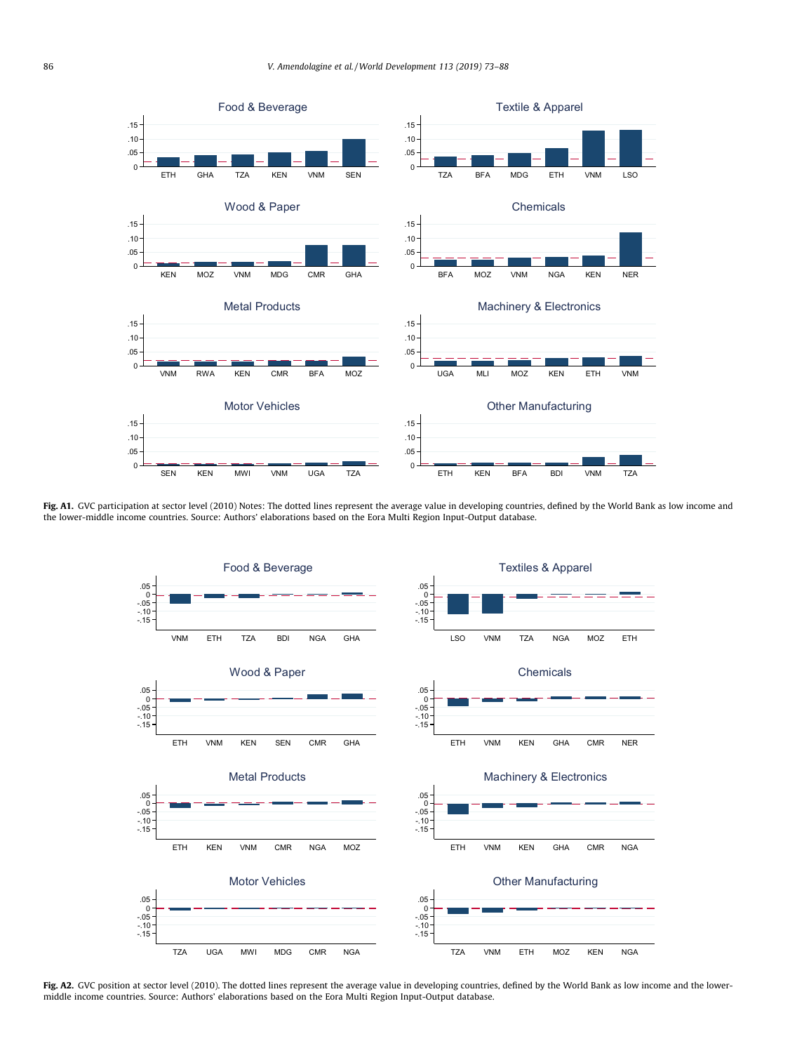

Fig. A1. GVC participation at sector level (2010) Notes: The dotted lines represent the average value in developing countries, defined by the World Bank as low income and the lower-middle income countries. Source: Authors' elaborations based on the Eora Multi Region Input-Output database.



Fig. A2. GVC position at sector level (2010). The dotted lines represent the average value in developing countries, defined by the World Bank as low income and the lowermiddle income countries. Source: Authors' elaborations based on the Eora Multi Region Input-Output database.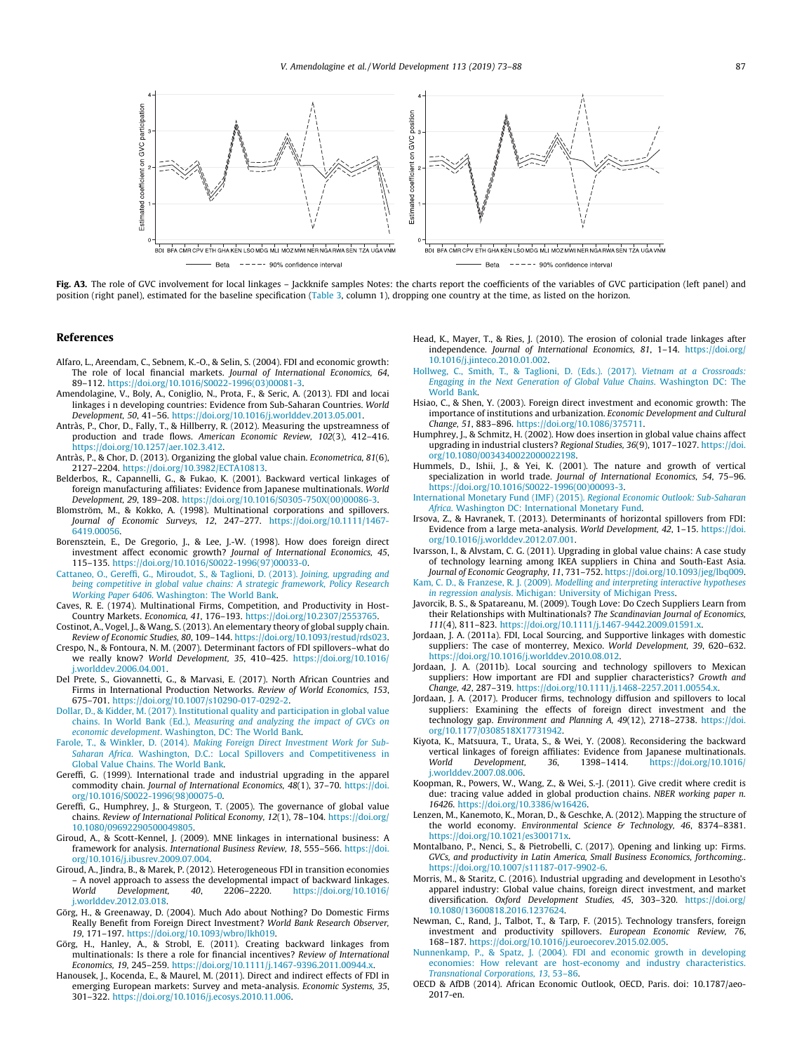<span id="page-14-0"></span>

Fig. A3. The role of GVC involvement for local linkages - Jackknife samples Notes: the charts report the coefficients of the variables of GVC participation (left panel) and position (right panel), estimated for the baseline specification [\(Table 3,](#page-6-0) column 1), dropping one country at the time, as listed on the horizon.

#### References

- Alfaro, L., Areendam, C., Sebnem, K.-O., & Selin, S. (2004). FDI and economic growth: The role of local financial markets. Journal of International Economics, 64, 89–112. [https://doi.org/10.1016/S0022-1996\(03\)00081-3.](https://doi.org/10.1016/S0022-1996(03)00081-3)
- Amendolagine, V., Boly, A., Coniglio, N., Prota, F., & Seric, A. (2013). FDI and locai linkages i n developing countries: Evidence from Sub-Saharan Countries. World Development, 50, 41–56. <https://doi.org/10.1016/j.worlddev.2013.05.001>.
- Antràs, P., Chor, D., Fally, T., & Hillberry, R. (2012). Measuring the upstreamness of production and trade flows. American Economic Review, 102(3), 412–416. [https://doi.org/10.1257/aer.102.3.412.](https://doi.org/10.1257/aer.102.3.412)
- Antràs, P., & Chor, D. (2013). Organizing the global value chain. Econometrica, 81(6), 2127–2204. [https://doi.org/10.3982/ECTA10813.](https://doi.org/10.3982/ECTA10813)
- Belderbos, R., Capannelli, G., & Fukao, K. (2001). Backward vertical linkages of foreign manufacturing affiliates: Evidence from Japanese multinationals. World Development, 29, 189–208. [https://doi.org/10.1016/S0305-750X\(00\)00086-3.](https://doi.org/10.1016/S0305-750X(00)00086-3)
- Blomström, M., & Kokko, A. (1998). Multinational corporations and spillovers. Journal of Economic Surveys, 12, 247–277. [https://doi.org/10.1111/1467-](https://doi.org/10.1111/1467-6419.00056) [6419.00056](https://doi.org/10.1111/1467-6419.00056).
- Borensztein, E., De Gregorio, J., & Lee, J.-W. (1998). How does foreign direct investment affect economic growth? Journal of International Economics, 45, 115–135. [https://doi.org/10.1016/S0022-1996\(97\)00033-0.](https://doi.org/10.1016/S0022-1996(97)00033-0)
- [Cattaneo, O., Gereffi, G., Miroudot, S., & Taglioni, D. \(2013\).](http://refhub.elsevier.com/S0305-750X(18)30310-3/h0040) Joining, upgrading and [being competitive in global value chains: A strategic framework, Policy Research](http://refhub.elsevier.com/S0305-750X(18)30310-3/h0040) Working Paper 6406[. Washington: The World Bank](http://refhub.elsevier.com/S0305-750X(18)30310-3/h0040).
- Caves, R. E. (1974). Multinational Firms, Competition, and Productivity in Host-Country Markets. Economica, 41, 176–193. <https://doi.org/10.2307/2553765>.
- Costinot, A., Vogel, J., & Wang, S. (2013). An elementary theory of global supply chain. Review of Economic Studies, 80, 109–144. <https://doi.org/10.1093/restud/rds023>.
- Crespo, N., & Fontoura, N. M. (2007). Determinant factors of FDI spillovers–what do we really know? World Development, 35, 410-425. [https://doi.org/10.1016/](https://doi.org/10.1016/j.worlddev.2006.04.001) [j.worlddev.2006.04.001](https://doi.org/10.1016/j.worlddev.2006.04.001).
- Del Prete, S., Giovannetti, G., & Marvasi, E. (2017). North African Countries and Firms in International Production Networks. Review of World Economics, 153, 675–701. [https://doi.org/10.1007/s10290-017-0292-2.](https://doi.org/10.1007/s10290-017-0292-2)
- [Dollar, D., & Kidder, M. \(2017\). Institutional quality and participation in global value](http://refhub.elsevier.com/S0305-750X(18)30310-3/h0065) chains. In World Bank (Ed.), [Measuring and analyzing the impact of GVCs on](http://refhub.elsevier.com/S0305-750X(18)30310-3/h0065) economic development[. Washington, DC: The World Bank](http://refhub.elsevier.com/S0305-750X(18)30310-3/h0065).
- Farole, T., & Winkler, D. (2014). [Making Foreign Direct Investment Work for Sub-](http://refhub.elsevier.com/S0305-750X(18)30310-3/h0070)Saharan Africa[. Washington, D.C.: Local Spillovers and Competitiveness in](http://refhub.elsevier.com/S0305-750X(18)30310-3/h0070) [Global Value Chains. The World Bank](http://refhub.elsevier.com/S0305-750X(18)30310-3/h0070).
- Gereffi, G. (1999). International trade and industrial upgrading in the apparel commodity chain. Journal of International Economics, 48(1), 37–70. [https://doi.](https://doi.org/10.1016/S0022-1996(98)00075-0) [org/10.1016/S0022-1996\(98\)00075-0.](https://doi.org/10.1016/S0022-1996(98)00075-0)
- Gereffi, G., Humphrey, J., & Sturgeon, T. (2005). The governance of global value chains. Review of International Political Economy, 12(1), 78-104. [https://doi.org/](https://doi.org/10.1080/09692290500049805) [10.1080/09692290500049805.](https://doi.org/10.1080/09692290500049805)
- Giroud, A., & Scott-Kennel, J. (2009). MNE linkages in international business: A framework for analysis. International Business Review, 18, 555–566. [https://doi.](https://doi.org/10.1016/j.ibusrev.2009.07.004) [org/10.1016/j.ibusrev.2009.07.004.](https://doi.org/10.1016/j.ibusrev.2009.07.004)
- Giroud, A., Jindra, B., & Marek, P. (2012). Heterogeneous FDI in transition economies – A novel approach to assess the developmental impact of backward linkages.<br>World Development, 40, 2206–2220. https://doi.org/10.1016/ World Development, 40, 2206–2220. [https://doi.org/10.1016/](https://doi.org/10.1016/j.worlddev.2012.03.018) [j.worlddev.2012.03.018.](https://doi.org/10.1016/j.worlddev.2012.03.018)
- Görg, H., & Greenaway, D. (2004). Much Ado about Nothing? Do Domestic Firms Really Benefit from Foreign Direct Investment? World Bank Research Observer, 19, 171–197. <https://doi.org/10.1093/wbro/lkh019>.
- Görg, H., Hanley, A., & Strobl, E. (2011). Creating backward linkages from multinationals: Is there a role for financial incentives? Review of International Economics, 19, 245–259. [https://doi.org/10.1111/j.1467-9396.2011.00944.x.](https://doi.org/10.1111/j.1467-9396.2011.00944.x)
- Hanousek, J., Kocenda, E., & Maurel, M. (2011). Direct and indirect effects of FDI in emerging European markets: Survey and meta-analysis. Economic Systems, 35, 301–322. <https://doi.org/10.1016/j.ecosys.2010.11.006>.
- Head, K., Mayer, T., & Ries, J. (2010). The erosion of colonial trade linkages after independence. Journal of International Economics, 81, 1-14. [https://doi.org/](https://doi.org/10.1016/j.jinteco.2010.01.002) [10.1016/j.jinteco.2010.01.002](https://doi.org/10.1016/j.jinteco.2010.01.002).
- [Hollweg, C., Smith, T., & Taglioni, D. \(Eds.\). \(2017\).](http://refhub.elsevier.com/S0305-750X(18)30310-3/h0110) Vietnam at a Crossroads: [Engaging in the Next Generation of Global Value Chains](http://refhub.elsevier.com/S0305-750X(18)30310-3/h0110). Washington DC: The [World Bank.](http://refhub.elsevier.com/S0305-750X(18)30310-3/h0110)
- Hsiao, C., & Shen, Y. (2003). Foreign direct investment and economic growth: The importance of institutions and urbanization. Economic Development and Cultural Change, 51, 883–896. <https://doi.org/10.1086/375711>.
- Humphrey, J., & Schmitz, H. (2002). How does insertion in global value chains affect upgrading in industrial clusters? Regional Studies, 36(9), 1017–1027. [https://doi.](https://doi.org/10.1080/0034340022000022198) [org/10.1080/0034340022000022198](https://doi.org/10.1080/0034340022000022198).
- Hummels, D., Ishii, J., & Yei, K. (2001). The nature and growth of vertical specialization in world trade. Journal of International Economics, 54, 75–96. [https://doi.org/10.1016/S0022-1996\(00\)00093-3](https://doi.org/10.1016/S0022-1996(00)00093-3).
- [International Monetary Fund \(IMF\) \(2015\).](http://refhub.elsevier.com/S0305-750X(18)30310-3/h0130) Regional Economic Outlook: Sub-Saharan Africa[. Washington DC: International Monetary Fund.](http://refhub.elsevier.com/S0305-750X(18)30310-3/h0130)
- Irsova, Z., & Havranek, T. (2013). Determinants of horizontal spillovers from FDI: Evidence from a large meta-analysis. World Development, 42, 1–15. [https://doi.](https://doi.org/10.1016/j.worlddev.2012.07.001) [org/10.1016/j.worlddev.2012.07.001](https://doi.org/10.1016/j.worlddev.2012.07.001).
- Ivarsson, I., & Alvstam, C. G. (2011). Upgrading in global value chains: A case study of technology learning among IKEA suppliers in China and South-East Asia. Journal of Economic Geography, 11, 731–752. [https://doi.org/10.1093/jeg/lbq009.](https://doi.org/10.1093/jeg/lbq009)

Kam, C. D., & Franzese, R. J. (2009). [Modelling and interpreting interactive hypotheses](http://refhub.elsevier.com/S0305-750X(18)30310-3/h0145) in regression analysis[. Michigan: University of Michigan Press.](http://refhub.elsevier.com/S0305-750X(18)30310-3/h0145)

- Javorcik, B. S., & Spatareanu, M. (2009). Tough Love: Do Czech Suppliers Learn from their Relationships with Multinationals? The Scandinavian Journal of Economics, 111(4), 811–823. [https://doi.org/10.1111/j.1467-9442.2009.01591.x.](https://doi.org/10.1111/j.1467-9442.2009.01591.x)
- Jordaan, J. A. (2011a). FDI, Local Sourcing, and Supportive linkages with domestic suppliers: The case of monterrey, Mexico. World Development, 39, 620–632. <https://doi.org/10.1016/j.worlddev.2010.08.012>.
- Jordaan, J. A. (2011b). Local sourcing and technology spillovers to Mexican suppliers: How important are FDI and supplier characteristics? Growth and Change, 42, 287–319. <https://doi.org/10.1111/j.1468-2257.2011.00554.x>.
- Jordaan, J. A. (2017). Producer firms, technology diffusion and spillovers to local suppliers: Examining the effects of foreign direct investment and the technology gap. Environment and Planning A, 49(12), 2718–2738. [https://doi.](https://doi.org/10.1177/0308518X17731942) [org/10.1177/0308518X17731942.](https://doi.org/10.1177/0308518X17731942)
- Kiyota, K., Matsuura, T., Urata, S., & Wei, Y. (2008). Reconsidering the backward vertical linkages of foreign affiliates: Evidence from Japanese multinationals.<br>World Development, 36, 1398-1414. https://doi.org/10.1016/ World Development, 36, 1398–1414. [https://doi.org/10.1016/](https://doi.org/10.1016/j.worlddev.2007.08.006) [j.worlddev.2007.08.006](https://doi.org/10.1016/j.worlddev.2007.08.006).
- Koopman, R., Powers, W., Wang, Z., & Wei, S.-J. (2011). Give credit where credit is due: tracing value added in global production chains. NBER working paper n. 16426. [https://doi.org/10.3386/w16426.](https://doi.org/10.3386/w16426)
- Lenzen, M., Kanemoto, K., Moran, D., & Geschke, A. (2012). Mapping the structure of the world economy. Environmental Science & Technology, 46, 8374-8381. [https://doi.org/10.1021/es300171x.](https://doi.org/10.1021/es300171x)
- Montalbano, P., Nenci, S., & Pietrobelli, C. (2017). Opening and linking up: Firms. GVCs, and productivity in Latin America, Small Business Economics, forthcoming.. <https://doi.org/10.1007/s11187-017-9902-6>.
- Morris, M., & Staritz, C. (2016). Industrial upgrading and development in Lesotho's apparel industry: Global value chains, foreign direct investment, and market diversification. Oxford Development Studies, 45, 303–320. [https://doi.org/](https://doi.org/10.1080/13600818.2016.1237624) [10.1080/13600818.2016.1237624.](https://doi.org/10.1080/13600818.2016.1237624)
- Newman, C., Rand, J., Talbot, T., & Tarp, F. (2015). Technology transfers, foreign investment and productivity spillovers. European Economic Review, 76, 168–187. <https://doi.org/10.1016/j.euroecorev.2015.02.005>.
- [Nunnenkamp, P., & Spatz, J. \(2004\). FDI and economic growth in developing](http://refhub.elsevier.com/S0305-750X(18)30310-3/h0205) [economies: How relevant are host-economy and industry characteristics.](http://refhub.elsevier.com/S0305-750X(18)30310-3/h0205) [Transnational Corporations, 13](http://refhub.elsevier.com/S0305-750X(18)30310-3/h0205), 53–86.
- OECD & AfDB (2014). African Economic Outlook, OECD, Paris. doi: 10.1787/aeo-2017-en.